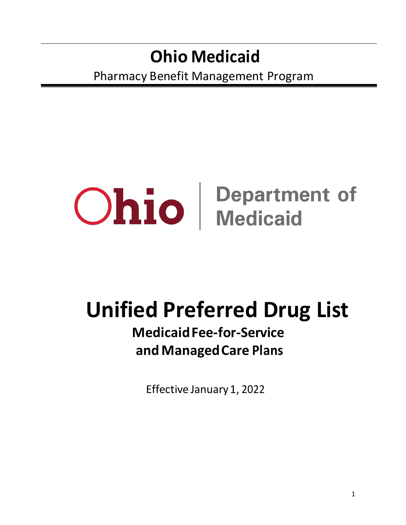## **Ohio Medicaid** Pharmacy Benefit Management Program

# **Ohio** Department of

## **Unified Preferred Drug List**

## **Medicaid Fee-for-Service and Managed Care Plans**

Effective January 1, 2022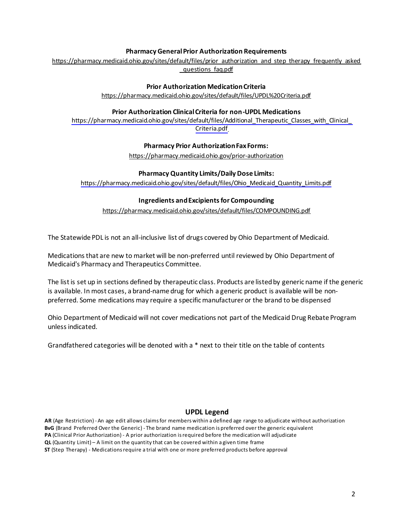#### **Pharmacy General Prior Authorization Requirements**

[https://pharmacy.medicaid.ohio.gov/sites/default/files/prior\\_authorization\\_and\\_step\\_therapy\\_frequently\\_asked](https://pharmacy.medicaid.ohio.gov/sites/default/files/prior_authorization_and_step_therapy_frequently_asked_questions_faq.pdf) questions faq.pdf

#### **Prior Authorization Medication Criteria**

<https://pharmacy.medicaid.ohio.gov/sites/default/files/UPDL%20Criteria.pdf>

#### **Prior Authorization Clinical Criteria for non-UPDL Medications**

[https://pharmacy.medicaid.ohio.gov/sites/default/files/Additional\\_Therapeutic\\_Classes\\_with\\_Clinical\\_](https://pharmacy.medicaid.ohio.gov/sites/default/files/Additional_Therapeutic_Classes_with_Clinical_Criteria.pdf) [Criteria.pdf](https://pharmacy.medicaid.ohio.gov/sites/default/files/Additional_Therapeutic_Classes_with_Clinical_Criteria.pdf) 

#### **Pharmacy Prior Authorization Fax Forms:**

<https://pharmacy.medicaid.ohio.gov/prior-authorization>

#### **Pharmacy Quantity Limits/Daily Dose Limits:**

[https://pharmacy.medicaid.ohio.gov/sites/default/files/Ohio\\_Medicaid\\_Quantity\\_Limits.pdf](https://pharmacy.medicaid.ohio.gov/sites/default/files/Ohio_Medicaid_Quantity_Limits.pdf)

#### **Ingredients and Excipients for Compounding**

<https://pharmacy.medicaid.ohio.gov/sites/default/files/COMPOUNDING.pdf>

The Statewide PDL is not an all-inclusive list of drugs covered by Ohio Department of Medicaid.

Medications that are new to market will be non-preferred until reviewed by Ohio Department of Medicaid's Pharmacy and Therapeutics Committee.

The list is set up in sections defined by therapeutic class. Products are listed by generic name if the generic is available. In most cases, a brand-name drug for which a generic product is available will be nonpreferred. Some medications may require a specific manufacturer or the brand to be dispensed

Ohio Department of Medicaid will not cover medications not part of the Medicaid Drug Rebate Program unless indicated.

Grandfathered categories will be denoted with a \* next to their title on the table of contents

#### **UPDL Legend**

**AR** (Age Restriction) - An age edit allows claims for members within a defined age range to adjudicate without authorization **BvG** (Brand Preferred Over the Generic) - The brand name medication is preferred over the generic equivalent **PA** (Clinical Prior Authorization) - A prior authorization is required before the medication will adjudicate **QL** (Quantity Limit) – A limit on the quantity that can be covered within a given time frame

**ST** (Step Therapy) - Medications require a trial with one or more preferred products before approval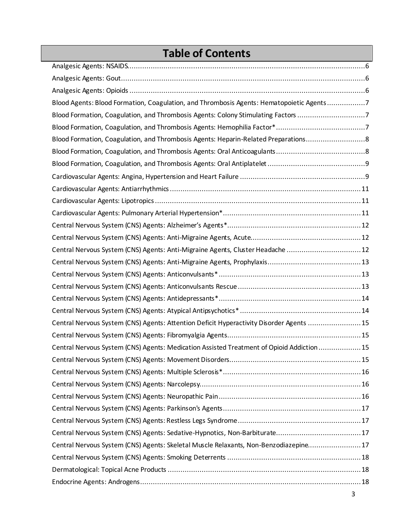### **Table of Contents**

| Blood Agents: Blood Formation, Coagulation, and Thrombosis Agents: Hematopoietic Agents7   |  |
|--------------------------------------------------------------------------------------------|--|
| Blood Formation, Coagulation, and Thrombosis Agents: Colony Stimulating Factors 7          |  |
|                                                                                            |  |
| Blood Formation, Coagulation, and Thrombosis Agents: Heparin-Related Preparations8         |  |
|                                                                                            |  |
|                                                                                            |  |
|                                                                                            |  |
|                                                                                            |  |
|                                                                                            |  |
|                                                                                            |  |
|                                                                                            |  |
|                                                                                            |  |
| Central Nervous System (CNS) Agents: Anti-Migraine Agents, Cluster Headache 12             |  |
|                                                                                            |  |
|                                                                                            |  |
|                                                                                            |  |
|                                                                                            |  |
|                                                                                            |  |
| Central Nervous System (CNS) Agents: Attention Deficit Hyperactivity Disorder Agents 15    |  |
|                                                                                            |  |
| Central Nervous System (CNS) Agents: Medication Assisted Treatment of Opioid Addiction  15 |  |
|                                                                                            |  |
|                                                                                            |  |
|                                                                                            |  |
|                                                                                            |  |
|                                                                                            |  |
|                                                                                            |  |
| Central Nervous System (CNS) Agents: Sedative-Hypnotics, Non-Barbiturate17                 |  |
| Central Nervous System (CNS) Agents: Skeletal Muscle Relaxants, Non-Benzodiazepine17       |  |
|                                                                                            |  |
|                                                                                            |  |
|                                                                                            |  |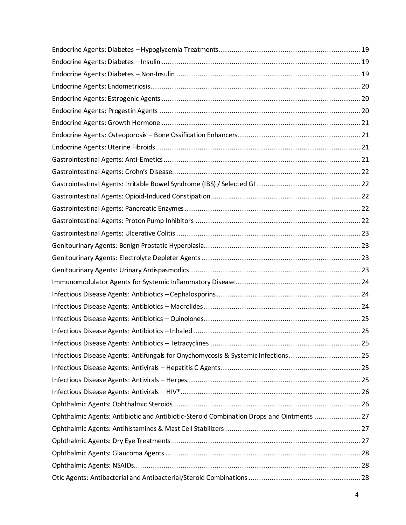| Infectious Disease Agents: Antifungals for Onychomycosis & Systemic Infections25        |  |
|-----------------------------------------------------------------------------------------|--|
|                                                                                         |  |
|                                                                                         |  |
|                                                                                         |  |
|                                                                                         |  |
| Ophthalmic Agents: Antibiotic and Antibiotic-Steroid Combination Drops and Ointments 27 |  |
|                                                                                         |  |
|                                                                                         |  |
|                                                                                         |  |
|                                                                                         |  |
|                                                                                         |  |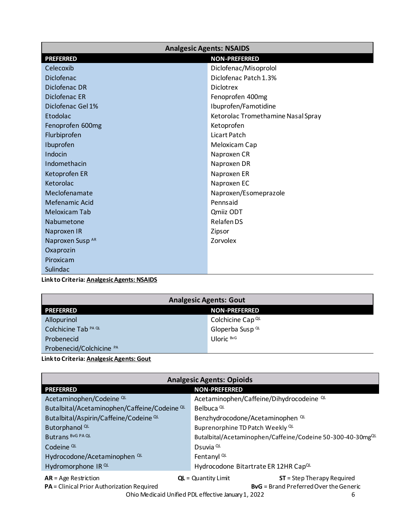<span id="page-5-0"></span>

| <b>Analgesic Agents: NSAIDS</b>           |                                    |
|-------------------------------------------|------------------------------------|
| <b>PREFERRED</b>                          | <b>NON-PREFERRED</b>               |
| Celecoxib                                 | Diclofenac/Misoprolol              |
| Diclofenac                                | Diclofenac Patch 1.3%              |
| Diclofenac DR                             | <b>Diclotrex</b>                   |
| Diclofenac ER                             | Fenoprofen 400mg                   |
| Diclofenac Gel 1%                         | Ibuprofen/Famotidine               |
| Etodolac                                  | Ketorolac Tromethamine Nasal Spray |
| Fenoprofen 600mg                          | Ketoprofen                         |
| Flurbiprofen                              | Licart Patch                       |
| Ibuprofen                                 | Meloxicam Cap                      |
| Indocin                                   | Naproxen CR                        |
| Indomethacin                              | Naproxen DR                        |
| Ketoprofen ER                             | Naproxen ER                        |
| Ketorolac                                 | Naproxen EC                        |
| Meclofenamate                             | Naproxen/Esomeprazole              |
| Mefenamic Acid                            | Pennsaid                           |
| <b>Meloxicam Tab</b>                      | Qmiiz ODT                          |
| Nabumetone                                | Relafen DS                         |
| Naproxen IR                               | Zipsor                             |
| Naproxen Susp AR                          | Zorvolex                           |
| Oxaprozin                                 |                                    |
| Piroxicam                                 |                                    |
| Sulindac                                  |                                    |
| Linkto Critoria: Analgocic Agonte: NGAIDE |                                    |

**Link to Criteria: [Analgesic Agents: NSAIDS](https://pharmacy.medicaid.ohio.gov/sites/default/files/20220101_UPDL_Criteria_Final.pdf#page=5)**

| <b>Analgesic Agents: Gout</b>            |                             |
|------------------------------------------|-----------------------------|
| <b>NON-PREFERRED</b><br><b>PREFERRED</b> |                             |
| Allopurinol                              | Colchicine Cap QL           |
| Colchicine Tab <sup>PA QL</sup>          | Gloperba Susp <sup>QL</sup> |
| Probenecid                               | Uloric BvG                  |
| Probenecid/Colchicine PA                 |                             |

#### **Link to Criteria: [Analgesic Agents: Gout](https://pharmacy.medicaid.ohio.gov/sites/default/files/20220101_UPDL_Criteria_Final.pdf#page=6)**

| <b>Analgesic Agents: Opioids</b>                                     |                                                                                                       |
|----------------------------------------------------------------------|-------------------------------------------------------------------------------------------------------|
| <b>PREFERRED</b>                                                     | <b>NON-PREFERRED</b>                                                                                  |
| Acetaminophen/Codeine <sup>QL</sup>                                  | Acetaminophen/Caffeine/Dihydrocodeine QL                                                              |
| Butalbital/Acetaminophen/Caffeine/Codeine QL                         | Belbuca <sup>QL</sup>                                                                                 |
| Butalbital/Aspirin/Caffeine/Codeine QL                               | Benzhydrocodone/Acetaminophen <sup>QL</sup>                                                           |
| Butorphanol <sup>QL</sup>                                            | Buprenorphine TD Patch Weekly QL                                                                      |
| <b>Butrans BVG PA QL</b>                                             | Butalbital/Acetaminophen/Caffeine/Codeine 50-300-40-30mgQL                                            |
| Codeine <sup>QL</sup>                                                | Dsuvia <sup>QL</sup>                                                                                  |
| Hydrocodone/Acetaminophen <sup>QL</sup>                              | Fentanyl <sup>QL</sup>                                                                                |
| Hydromorphone IR QL                                                  | Hydrocodone Bitartrate ER 12HR CapQL                                                                  |
| $AR = Age$ Restriction<br>PA = Clinical Prior Authorization Required | $ST = Step Theory Required$<br>$QL =$ Quantity Limit<br><b>ByG</b> = Brand Preferred Over the Generic |

Ohio Medicaid Unified PDL effective January 1, 2022 6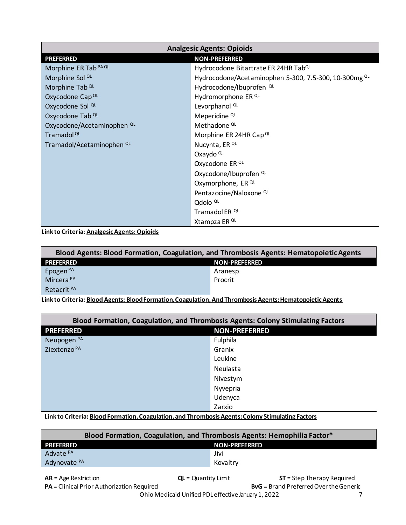<span id="page-6-0"></span>

| <b>Analgesic Agents: Opioids</b>      |                                                       |  |
|---------------------------------------|-------------------------------------------------------|--|
| <b>PREFERRED</b>                      | <b>NON-PREFERRED</b>                                  |  |
| Morphine ER Tab <sup>PA QL</sup>      | Hydrocodone Bitartrate ER 24HR Tab <sup>QL</sup>      |  |
| Morphine Sol <sup>QL</sup>            | Hydrocodone/Acetaminophen 5-300, 7.5-300, 10-300mg QL |  |
| Morphine Tab <sup>QL</sup>            | Hydrocodone/Ibuprofen <sup>QL</sup>                   |  |
| Oxycodone Cap QL                      | Hydromorphone ER QL                                   |  |
| Oxycodone Sol <sup>QL</sup>           | Levorphanol <sup>QL</sup>                             |  |
| Oxycodone Tab QL                      | Meperidine <sup>QL</sup>                              |  |
| Oxycodone/Acetaminophen <sup>QL</sup> | Methadone <sup>QL</sup>                               |  |
| Tramadol <sup>QL</sup>                | Morphine ER 24HR Cap QL                               |  |
| Tramadol/Acetaminophen <sup>QL</sup>  | Nucynta, ER <sup>QL</sup>                             |  |
|                                       | Oxaydo QL                                             |  |
|                                       | Oxycodone ER QL                                       |  |
|                                       | Oxycodone/Ibuprofen QL                                |  |
|                                       | Oxymorphone, ER QL                                    |  |
|                                       | Pentazocine/Naloxone QL                               |  |
|                                       | Qdolo <sup>QL</sup>                                   |  |
|                                       | Tramadol ER <sup>QL</sup>                             |  |
|                                       | Xtampza ER <sup>QL</sup>                              |  |

**Link to Criteria: [Analgesic Agents: Opioids](https://pharmacy.medicaid.ohio.gov/sites/default/files/20220101_UPDL_Criteria_Final.pdf#page=7)** 

| Blood Agents: Blood Formation, Coagulation, and Thrombosis Agents: Hematopoietic Agents |         |  |
|-----------------------------------------------------------------------------------------|---------|--|
| <b>PREFERRED</b><br><b>NON-PREFERRED</b>                                                |         |  |
| Epogen <sup>PA</sup>                                                                    | Aranesp |  |
| Mircera <sup>PA</sup>                                                                   | Procrit |  |
| Retacrit <sup>PA</sup>                                                                  |         |  |

**Link to Criteria: [Blood Agents: Blood Formation, Coagulation, And Thrombosis Agents: Hematopoietic Agents](https://pharmacy.medicaid.ohio.gov/sites/default/files/20220101_UPDL_Criteria_Final.pdf#page=9)** 

| Blood Formation, Coagulation, and Thrombosis Agents: Colony Stimulating Factors |                      |
|---------------------------------------------------------------------------------|----------------------|
| <b>PREFERRED</b>                                                                | <b>NON-PREFERRED</b> |
| Neupogen <sup>PA</sup>                                                          | Fulphila             |
| Ziextenzo <sup>PA</sup>                                                         | Granix               |
|                                                                                 | Leukine              |
|                                                                                 | Neulasta             |
|                                                                                 | Nivestym             |
|                                                                                 | Nyvepria             |
|                                                                                 | Udenyca              |
|                                                                                 | Zarxio               |

**Link to Criteria: [Blood Formation, Coagulation, and Thrombosis Agents: Colony Stimulating Factors](https://pharmacy.medicaid.ohio.gov/sites/default/files/20220101_UPDL_Criteria_Final.pdf#page=10)** 

| Blood Formation, Coagulation, and Thrombosis Agents: Hemophilia Factor* |               |  |
|-------------------------------------------------------------------------|---------------|--|
| <b>PREFERRED</b>                                                        | NON-PREFERRED |  |
| Advate PA                                                               | Jivi          |  |
| Adynovate <sup>PA</sup>                                                 | Kovaltry      |  |
|                                                                         |               |  |

Ohio Medicaid Unified PDL effective January 1, 2022 7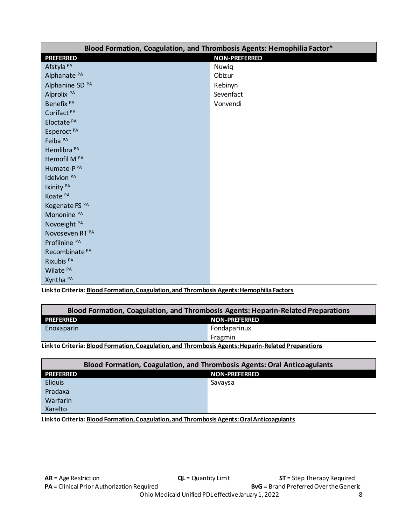<span id="page-7-0"></span>

| Blood Formation, Coagulation, and Thrombosis Agents: Hemophilia Factor* |           |  |
|-------------------------------------------------------------------------|-----------|--|
| <b>NON-PREFERRED</b><br><b>PREFERRED</b>                                |           |  |
| Afstyla <sup>PA</sup>                                                   | Nuwiq     |  |
| Alphanate <sup>PA</sup>                                                 | Obizur    |  |
| Alphanine SD <sup>PA</sup>                                              | Rebinyn   |  |
| Alprolix <sup>PA</sup>                                                  | Sevenfact |  |
| Benefix <sup>PA</sup>                                                   | Vonvendi  |  |
| Corifact <sup>PA</sup>                                                  |           |  |
| Eloctate <sup>PA</sup>                                                  |           |  |
| Esperoct <sup>PA</sup>                                                  |           |  |
| Feiba <sup>PA</sup>                                                     |           |  |
| Hemlibra <sup>PA</sup>                                                  |           |  |
| Hemofil M <sup>PA</sup>                                                 |           |  |
| Humate-PPA                                                              |           |  |
| Idelvion <sup>PA</sup>                                                  |           |  |
| Ixinity <sup>PA</sup>                                                   |           |  |
| Koate <sup>PA</sup>                                                     |           |  |
| Kogenate FS PA                                                          |           |  |
| Mononine PA                                                             |           |  |
| Novoeight <sup>PA</sup>                                                 |           |  |
| Novoseven RT <sup>PA</sup>                                              |           |  |
| Profilnine <sup>PA</sup>                                                |           |  |
| Recombinate <sup>PA</sup>                                               |           |  |
| Rixubis <sup>PA</sup>                                                   |           |  |
| Wilate <sup>PA</sup>                                                    |           |  |
| Xyntha <sup>PA</sup>                                                    |           |  |

Link to Criteria: Blood Formation, Coagulation, and Thrombosis Agents: Hemophilia Factors

| Blood Formation, Coagulation, and Thrombosis Agents: Heparin-Related Preparations                   |              |
|-----------------------------------------------------------------------------------------------------|--------------|
| <b>PREFERRED</b><br><b>NON-PREFERRED</b>                                                            |              |
| Enoxaparin                                                                                          | Fondaparinux |
|                                                                                                     | Fragmin      |
| Link to Criteria: Blood Formation. Coagulation. and Thrombosis Agents: Heparin-Related Preparations |              |

| <b>Blood Formation, Coagulation, and Thrombosis Agents: Oral Anticoagulants</b> |                      |         |
|---------------------------------------------------------------------------------|----------------------|---------|
| <b>PREFERRED</b>                                                                | <b>NON-PREFERRED</b> |         |
| <b>Eliquis</b>                                                                  |                      | Savaysa |
| Pradaxa                                                                         |                      |         |
| Warfarin                                                                        |                      |         |
| Xarelto                                                                         |                      |         |

Link to Criteria: Blood Formation, Coagulation, and Thrombosis Agents: Oral Anticoagulants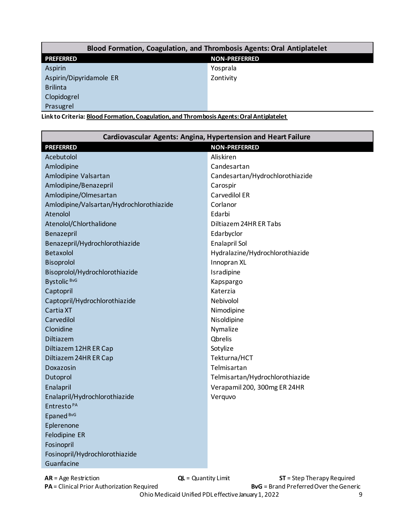<span id="page-8-0"></span>

| Blood Formation, Coagulation, and Thrombosis Agents: Oral Antiplatelet |                      |  |
|------------------------------------------------------------------------|----------------------|--|
| <b>PREFERRED</b>                                                       | <b>NON-PREFERRED</b> |  |
| Aspirin                                                                | Yosprala             |  |
| Aspirin/Dipyridamole ER                                                | Zontivity            |  |
| <b>Brilinta</b>                                                        |                      |  |
| Clopidogrel                                                            |                      |  |
| Prasugrel                                                              |                      |  |

**Link to Criteria: [Blood Formation, Coagulation, and Thrombosis Agents: Oral Antiplatelet](https://pharmacy.medicaid.ohio.gov/sites/default/files/20220101_UPDL_Criteria_Final.pdf#page=14)** 

| Cardiovascular Agents: Angina, Hypertension and Heart Failure |                                 |  |  |
|---------------------------------------------------------------|---------------------------------|--|--|
| <b>NON-PREFERRED</b><br><b>PREFERRED</b>                      |                                 |  |  |
| Acebutolol                                                    | Aliskiren                       |  |  |
| Amlodipine                                                    | Candesartan                     |  |  |
| Amlodipine Valsartan                                          | Candesartan/Hydrochlorothiazide |  |  |
| Amlodipine/Benazepril                                         | Carospir                        |  |  |
| Amlodipine/Olmesartan                                         | Carvedilol ER                   |  |  |
| Amlodipine/Valsartan/Hydrochlorothiazide                      | Corlanor                        |  |  |
| Atenolol                                                      | Edarbi                          |  |  |
| Atenolol/Chlorthalidone                                       | Diltiazem 24HR ER Tabs          |  |  |
| Benazepril                                                    | Edarbyclor                      |  |  |
| Benazepril/Hydrochlorothiazide                                | Enalapril Sol                   |  |  |
| Betaxolol                                                     | Hydralazine/Hydrochlorothiazide |  |  |
| <b>Bisoprolol</b>                                             | Innopran XL                     |  |  |
| Bisoprolol/Hydrochlorothiazide                                | Isradipine                      |  |  |
| Bystolic BvG                                                  | Kapspargo                       |  |  |
| Captopril                                                     | Katerzia                        |  |  |
| Captopril/Hydrochlorothiazide                                 | Nebivolol                       |  |  |
| Cartia XT                                                     | Nimodipine                      |  |  |
| Carvedilol                                                    | Nisoldipine                     |  |  |
| Clonidine                                                     | Nymalize                        |  |  |
| Diltiazem                                                     | <b>Qbrelis</b>                  |  |  |
| Diltiazem 12HR ER Cap                                         | Sotylize                        |  |  |
| Diltiazem 24HR ER Cap                                         | Tekturna/HCT                    |  |  |
| Doxazosin                                                     | Telmisartan                     |  |  |
| Dutoprol                                                      | Telmisartan/Hydrochlorothiazide |  |  |
| Enalapril                                                     | Verapamil 200, 300mg ER 24HR    |  |  |
| Enalapril/Hydrochlorothiazide                                 | Verquvo                         |  |  |
| Entresto <sup>PA</sup>                                        |                                 |  |  |
| Epaned <sup>BvG</sup>                                         |                                 |  |  |
| Eplerenone                                                    |                                 |  |  |
| Felodipine ER                                                 |                                 |  |  |
| Fosinopril                                                    |                                 |  |  |
| Fosinopril/Hydrochlorothiazide                                |                                 |  |  |
| Guanfacine                                                    |                                 |  |  |

**PA** = Clinical Prior Authorization Required **BVG** = Brand Preferred Over the Generic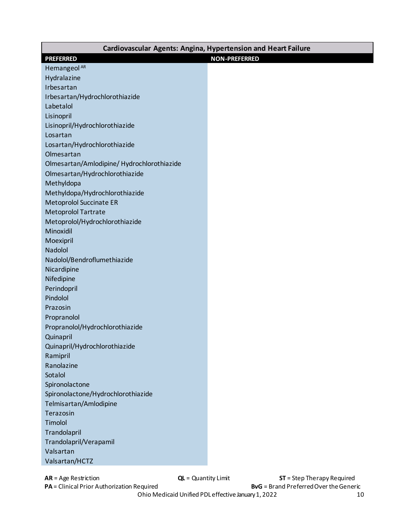| Cardiovascular Agents: Angina, Hypertension and Heart Failure |                      |
|---------------------------------------------------------------|----------------------|
| <b>PREFERRED</b>                                              | <b>NON-PREFERRED</b> |
| Hemangeol <sup>AR</sup>                                       |                      |
| Hydralazine                                                   |                      |
| Irbesartan                                                    |                      |
| Irbesartan/Hydrochlorothiazide                                |                      |
| Labetalol                                                     |                      |
| Lisinopril                                                    |                      |
| Lisinopril/Hydrochlorothiazide                                |                      |
| Losartan                                                      |                      |
| Losartan/Hydrochlorothiazide                                  |                      |
| Olmesartan                                                    |                      |
| Olmesartan/Amlodipine/ Hydrochlorothiazide                    |                      |
| Olmesartan/Hydrochlorothiazide                                |                      |
| Methyldopa                                                    |                      |
| Methyldopa/Hydrochlorothiazide                                |                      |
| <b>Metoprolol Succinate ER</b>                                |                      |
| Metoprolol Tartrate                                           |                      |
| Metoprolol/Hydrochlorothiazide                                |                      |
| Minoxidil                                                     |                      |
| Moexipril                                                     |                      |
| Nadolol                                                       |                      |
| Nadolol/Bendroflumethiazide                                   |                      |
| Nicardipine                                                   |                      |
| Nifedipine                                                    |                      |
| Perindopril                                                   |                      |
| Pindolol                                                      |                      |
| Prazosin                                                      |                      |
| Propranolol                                                   |                      |
| Propranolol/Hydrochlorothiazide                               |                      |
| Quinapril                                                     |                      |
| Quinapril/Hydrochlorothiazide                                 |                      |
| Ramipril                                                      |                      |
| Ranolazine                                                    |                      |
| Sotalol                                                       |                      |
| Spironolactone                                                |                      |
| Spironolactone/Hydrochlorothiazide                            |                      |
| Telmisartan/Amlodipine                                        |                      |
| Terazosin                                                     |                      |
| Timolol                                                       |                      |
| Trandolapril                                                  |                      |
| Trandolapril/Verapamil                                        |                      |
| Valsartan                                                     |                      |
| Valsartan/HCTZ                                                |                      |

**AR** = Age Restriction **CL** = Quantity Limit **ST** = Step Therapy Required<br>**PA** = Clinical Prior Authorization Required **BVG** = Brand Preferred Over the Generic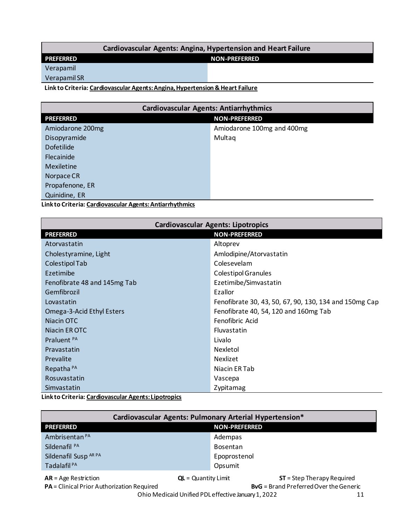#### **Cardiovascular Agents: Angina, Hypertension and Heart Failure**

<span id="page-10-0"></span>**PREFERRED NON-PREFERRED** 

Verapamil

Verapamil SR

**Link to Criteria: [Cardiovascular Agents: Angina, Hypertension & Heart Failure](https://pharmacy.medicaid.ohio.gov/sites/default/files/20220101_UPDL_Criteria_Final.pdf#page=15)** 

| <b>Cardiovascular Agents: Antiarrhythmics</b> |  |  |
|-----------------------------------------------|--|--|
| <b>NON-PREFERRED</b><br><b>PREFERRED</b>      |  |  |
| Amiodarone 100mg and 400mg                    |  |  |
| Multaq                                        |  |  |
|                                               |  |  |
|                                               |  |  |
|                                               |  |  |
|                                               |  |  |
|                                               |  |  |
| Quinidine, ER                                 |  |  |
|                                               |  |  |

**Link to Criteria[: Cardiovascular Agents: Antiarrhythmics](https://pharmacy.medicaid.ohio.gov/sites/default/files/20220101_UPDL_Criteria_Final.pdf#page=17)** 

| <b>Cardiovascular Agents: Lipotropics</b> |                                                        |  |
|-------------------------------------------|--------------------------------------------------------|--|
| <b>PREFERRED</b><br><b>NON-PREFERRED</b>  |                                                        |  |
| Atorvastatin                              | Altoprev                                               |  |
| Cholestyramine, Light                     | Amlodipine/Atorvastatin                                |  |
| Colestipol Tab                            | Colesevelam                                            |  |
| Ezetimibe                                 | <b>Colestipol Granules</b>                             |  |
| Fenofibrate 48 and 145mg Tab              | Ezetimibe/Simvastatin                                  |  |
| Gemfibrozil                               | Ezallor                                                |  |
| Lovastatin                                | Fenofibrate 30, 43, 50, 67, 90, 130, 134 and 150mg Cap |  |
| Omega-3-Acid Ethyl Esters                 | Fenofibrate 40, 54, 120 and 160mg Tab                  |  |
| Niacin OTC                                | Fenofibric Acid                                        |  |
| Niacin ER OTC                             | Fluvastatin                                            |  |
| Praluent PA                               | Livalo                                                 |  |
| Pravastatin                               | Nexletol                                               |  |
| Prevalite                                 | Nexlizet                                               |  |
| Repatha <sup>PA</sup>                     | Niacin ER Tab                                          |  |
| Rosuvastatin                              | Vascepa                                                |  |
| Simvastatin                               | Zypitamag                                              |  |

**Link to Criteria: [Cardiovascular Agents: Lipotropics](https://pharmacy.medicaid.ohio.gov/sites/default/files/20220101_UPDL_Criteria_Final.pdf#page=18)** 

| Cardiovascular Agents: Pulmonary Arterial Hypertension*                                     |                       |                             |
|---------------------------------------------------------------------------------------------|-----------------------|-----------------------------|
| <b>PREFERRED</b>                                                                            | <b>NON-PREFERRED</b>  |                             |
| Ambrisentan <sup>PA</sup>                                                                   | Adempas               |                             |
| Sildenafil <sup>PA</sup>                                                                    | Bosentan              |                             |
| Sildenafil Susp AR PA                                                                       | Epoprostenol          |                             |
| Tadalafil <sup>PA</sup>                                                                     | Opsumit               |                             |
| $AR = Age$ Restriction                                                                      | $QL =$ Quantity Limit | $ST = Step Theory Required$ |
| <b>BvG</b> = Brand Preferred Over the Generic<br>PA = Clinical Prior Authorization Required |                       |                             |
| Ohio Medicaid Unified PDL effective January 1, 2022<br>11                                   |                       |                             |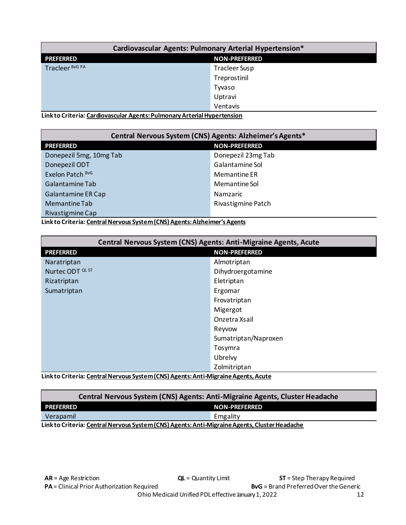<span id="page-11-0"></span>

| Cardiovascular Agents: Pulmonary Arterial Hypertension* |                      |
|---------------------------------------------------------|----------------------|
| <b>PREFERRED</b><br><b>NON-PREFERRED</b>                |                      |
| Tracleer BvG PA                                         | <b>Tracleer Susp</b> |
|                                                         | Treprostinil         |
|                                                         | Tyvaso               |
|                                                         | Uptravi              |
|                                                         | Ventavis             |

**Link to Criteria: [Cardiovascular Agents: Pulmonary Arterial Hypertension](https://pharmacy.medicaid.ohio.gov/sites/default/files/20220101_UPDL_Criteria_Final.pdf#page=20)** 

| Central Nervous System (CNS) Agents: Alzheimer's Agents* |                      |  |
|----------------------------------------------------------|----------------------|--|
| <b>PREFERRED</b>                                         | <b>NON-PREFERRED</b> |  |
| Donepezil 5mg, 10mg Tab                                  | Donepezil 23mg Tab   |  |
| Donepezil ODT                                            | Galantamine Sol      |  |
| Exelon Patch BvG                                         | Memantine ER         |  |
| Galantamine Tab                                          | Memantine Sol        |  |
| Galantamine ER Cap                                       | Namzaric             |  |
| Memantine Tab                                            | Rivastigmine Patch   |  |
| Rivastigmine Cap                                         |                      |  |

**Link to Criteria: [Central Nervous System \(CNS\) Agents: Alzheimer's Agents](https://pharmacy.medicaid.ohio.gov/sites/default/files/20220101_UPDL_Criteria_Final.pdf#page=21)**

| Central Nervous System (CNS) Agents: Anti-Migraine Agents, Acute                    |                      |  |
|-------------------------------------------------------------------------------------|----------------------|--|
| <b>PREFERRED</b>                                                                    | <b>NON-PREFERRED</b> |  |
| Naratriptan                                                                         | Almotriptan          |  |
| Nurtec ODT <sup>QL ST</sup>                                                         | Dihydroergotamine    |  |
| Rizatriptan                                                                         | Eletriptan           |  |
| Sumatriptan                                                                         | Ergomar              |  |
|                                                                                     | Frovatriptan         |  |
|                                                                                     | Migergot             |  |
|                                                                                     | Onzetra Xsail        |  |
|                                                                                     | Reyvow               |  |
|                                                                                     | Sumatriptan/Naproxen |  |
|                                                                                     | Tosymra              |  |
|                                                                                     | Ubrelvy              |  |
| Zolmitriptan                                                                        |                      |  |
| Lielche Cuiteria: Control Norvaus Sustans (CNS) Aconta: Anti Microine Aconta, Acute |                      |  |

**Link to Criteria: [Central Nervous System \(CNS\) Agents: Anti-Migraine Agents, Acute](https://pharmacy.medicaid.ohio.gov/sites/default/files/20220101_UPDL_Criteria_Final.pdf#page=22)** 

| Central Nervous System (CNS) Agents: Anti-Migraine Agents, Cluster Headache                   |                      |  |
|-----------------------------------------------------------------------------------------------|----------------------|--|
| PREFERRED                                                                                     | <b>NON-PREFERRED</b> |  |
| Verapamil                                                                                     | Emgality             |  |
| Link to Criteria: Central Nervous System (CNS) Agents: Anti-Migraine Agents, Cluster Headache |                      |  |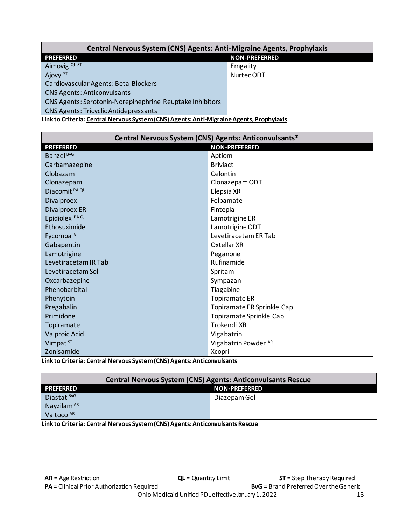<span id="page-12-0"></span>

| Central Nervous System (CNS) Agents: Anti-Migraine Agents, Prophylaxis |                      |  |
|------------------------------------------------------------------------|----------------------|--|
| <b>PREFERRED</b>                                                       | <b>NON-PREFERRED</b> |  |
| Aimovig QL ST                                                          | Emgality             |  |
| Ajovy ST                                                               | Nurtec ODT           |  |
| Cardiovascular Agents: Beta-Blockers                                   |                      |  |
| <b>CNS Agents: Anticonvulsants</b>                                     |                      |  |
| CNS Agents: Serotonin-Norepinephrine Reuptake Inhibitors               |                      |  |
| <b>CNS Agents: Tricyclic Antidepressants</b>                           |                      |  |

**Link to Criteria: [Central Nervous System \(CNS\) Agents: Anti-Migraine Agents, Prophylaxis](https://pharmacy.medicaid.ohio.gov/sites/default/files/20220101_UPDL_Criteria_Final.pdf#page=24)** 

| Central Nervous System (CNS) Agents: Anticonvulsants*                |                            |
|----------------------------------------------------------------------|----------------------------|
| <b>PREFERRED</b>                                                     | <b>NON-PREFERRED</b>       |
| Banzel BvG                                                           | Aptiom                     |
| Carbamazepine                                                        | <b>Briviact</b>            |
| Clobazam                                                             | Celontin                   |
| Clonazepam                                                           | Clonazepam ODT             |
| Diacomit PA QL                                                       | Elepsia XR                 |
| <b>Divalproex</b>                                                    | Felbamate                  |
| <b>Divalproex ER</b>                                                 | Fintepla                   |
| Epidiolex <sup>PAQL</sup>                                            | Lamotrigine ER             |
| Ethosuximide                                                         | Lamotrigine ODT            |
| Fycompa ST                                                           | Levetiracetam ER Tab       |
| Gabapentin                                                           | Oxtellar XR                |
| Lamotrigine                                                          | Peganone                   |
| Levetiracetam IR Tab                                                 | Rufinamide                 |
| Levetiracetam Sol                                                    | Spritam                    |
| Oxcarbazepine                                                        | Sympazan                   |
| Phenobarbital                                                        | Tiagabine                  |
| Phenytoin                                                            | Topiramate ER              |
| Pregabalin                                                           | Topiramate ER Sprinkle Cap |
| Primidone                                                            | Topiramate Sprinkle Cap    |
| Topiramate                                                           | Trokendi XR                |
| Valproic Acid                                                        | Vigabatrin                 |
| Vimpat ST                                                            | Vigabatrin Powder AR       |
| Zonisamide                                                           | Xcopri                     |
| ink to Critoria: Control Norvous System (CNS) Agents: Anticomulcants |                            |

**Link to Criteria: [Central Nervous System \(CNS\) Agents: Anticonvulsants](https://pharmacy.medicaid.ohio.gov/sites/default/files/20220101_UPDL_Criteria_Final.pdf#page=26)** 

| <b>Central Nervous System (CNS) Agents: Anticonvulsants Rescue</b>            |              |  |
|-------------------------------------------------------------------------------|--------------|--|
| <b>PREFERRED</b><br><b>NON-PREFERRED</b>                                      |              |  |
| Diastat BvG                                                                   | Diazepam Gel |  |
| Nayzilam AR                                                                   |              |  |
| Valtoco AR                                                                    |              |  |
| Link to Criteria: Central Nervous System (CNS) Agents: Anticonvulsants Rescue |              |  |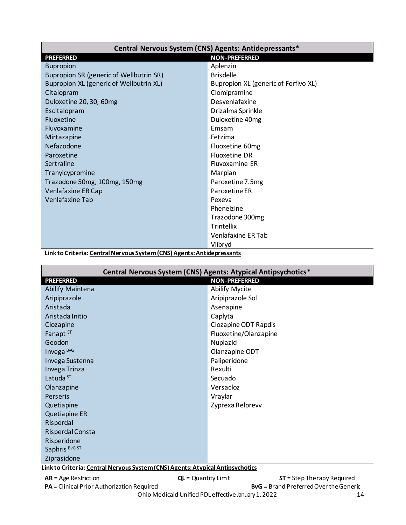<span id="page-13-0"></span>

| Central Nervous System (CNS) Agents: Antidepressants* |                                      |
|-------------------------------------------------------|--------------------------------------|
| <b>PREFERRED</b>                                      | <b>NON-PREFERRED</b>                 |
| <b>Bupropion</b>                                      | Aplenzin                             |
| Bupropion SR (generic of Wellbutrin SR)               | <b>Brisdelle</b>                     |
| Bupropion XL (generic of Wellbutrin XL)               | Bupropion XL (generic of Forfivo XL) |
| Citalopram                                            | Clomipramine                         |
| Duloxetine 20, 30, 60mg                               | Desvenlafaxine                       |
| Escitalopram                                          | Drizalma Sprinkle                    |
| <b>Fluoxetine</b>                                     | Duloxetine 40mg                      |
| Fluvoxamine                                           | Emsam                                |
| Mirtazapine                                           | Fetzima                              |
| Nefazodone                                            | Fluoxetine 60mg                      |
| Paroxetine                                            | <b>Fluoxetine DR</b>                 |
| Sertraline                                            | Fluvoxamine ER                       |
| Tranylcypromine                                       | Marplan                              |
| Trazodone 50mg, 100mg, 150mg                          | Paroxetine 7.5mg                     |
| Venlafaxine ER Cap                                    | Paroxetine ER                        |
| <b>Venlafaxine Tab</b>                                | Pexeva                               |
|                                                       | Phenelzine                           |
|                                                       | Trazodone 300mg                      |
|                                                       | Trintellix                           |
|                                                       | Venlafaxine ER Tab                   |
|                                                       | Viibryd                              |

**Link to Criteria: [Central Nervous System \(CNS\) Agents: Antidepressants](https://pharmacy.medicaid.ohio.gov/sites/default/files/20220101_UPDL_Criteria_Final.pdf#page=29)** 

| Central Nervous System (CNS) Agents: Atypical Antipsychotics*                  |                       |  |
|--------------------------------------------------------------------------------|-----------------------|--|
| <b>NON-PREFERRED</b><br><b>PREFERRED</b>                                       |                       |  |
| <b>Abilify Maintena</b>                                                        | <b>Abilify Mycite</b> |  |
| Aripiprazole                                                                   | Aripiprazole Sol      |  |
| Aristada                                                                       | Asenapine             |  |
| Aristada Initio                                                                | Caplyta               |  |
| Clozapine                                                                      | Clozapine ODT Rapdis  |  |
| Fanapt ST                                                                      | Fluoxetine/Olanzapine |  |
| Geodon                                                                         | Nuplazid              |  |
| Invega BvG                                                                     | Olanzapine ODT        |  |
| Invega Sustenna                                                                | Paliperidone          |  |
| Invega Trinza                                                                  | Rexulti               |  |
| Latuda <sup>ST</sup>                                                           | Secuado               |  |
| Olanzapine                                                                     | Versacloz             |  |
| <b>Perseris</b>                                                                | Vraylar               |  |
| Quetiapine                                                                     | Zyprexa Relprevv      |  |
| <b>Quetiapine ER</b>                                                           |                       |  |
| Risperdal                                                                      |                       |  |
| Risperdal Consta                                                               |                       |  |
| Risperidone                                                                    |                       |  |
| Saphris BvG ST                                                                 |                       |  |
| Ziprasidone                                                                    |                       |  |
| Link to Criteria: Central Nervous System (CNS) Agents: Atypical Antipsychotics |                       |  |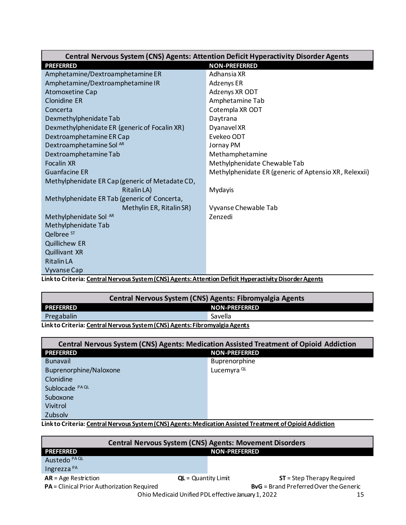<span id="page-14-0"></span>

| <b>Central Nervous System (CNS) Agents: Attention Deficit Hyperactivity Disorder Agents</b> |                                                       |
|---------------------------------------------------------------------------------------------|-------------------------------------------------------|
| <b>PREFERRED</b>                                                                            | <b>NON-PREFERRED</b>                                  |
| Amphetamine/Dextroamphetamine ER                                                            | Adhansia XR                                           |
| Amphetamine/Dextroamphetamine IR                                                            | Adzenys ER                                            |
| Atomoxetine Cap                                                                             | Adzenys XR ODT                                        |
| <b>Clonidine ER</b>                                                                         | Amphetamine Tab                                       |
| Concerta                                                                                    | Cotempla XR ODT                                       |
| Dexmethylphenidate Tab                                                                      | Daytrana                                              |
| Dexmethylphenidate ER (generic of Focalin XR)                                               | Dyanavel XR                                           |
| Dextroamphetamine ER Cap                                                                    | Evekeo ODT                                            |
| Dextroamphetamine Sol AR                                                                    | Jornay PM                                             |
| Dextroamphetamine Tab                                                                       | Methamphetamine                                       |
| <b>Focalin XR</b>                                                                           | Methylphenidate Chewable Tab                          |
| <b>Guanfacine ER</b>                                                                        | Methylphenidate ER (generic of Aptensio XR, Relexxii) |
| Methylphenidate ER Cap (generic of Metadate CD,                                             |                                                       |
| Ritalin LA)                                                                                 | Mydayis                                               |
| Methylphenidate ER Tab (generic of Concerta,                                                |                                                       |
| Methylin ER, Ritalin SR)                                                                    | Vyvanse Chewable Tab                                  |
| Methylphenidate Sol AR                                                                      | Zenzedi                                               |
| Methylphenidate Tab                                                                         |                                                       |
| Qelbree <sup>ST</sup>                                                                       |                                                       |
| <b>Quillichew ER</b>                                                                        |                                                       |
| <b>Quillivant XR</b>                                                                        |                                                       |
| <b>Ritalin LA</b>                                                                           |                                                       |
| <b>Vyvanse Cap</b>                                                                          |                                                       |

**Link to Criteria: [Central Nervous System \(CNS\) Agents: Attention Deficit Hyperactivity Disorder Agents](https://pharmacy.medicaid.ohio.gov/sites/default/files/20220101_UPDL_Criteria_Final.pdf#page=32)** 

| Central Nervous System (CNS) Agents: Fibromyalgia Agents                   |                      |
|----------------------------------------------------------------------------|----------------------|
| <b>PREFERRED</b>                                                           | <b>NON-PREFERRED</b> |
| Pregabalin<br>Savella                                                      |                      |
| Link to Critoria: Central Nervous System (CNS) Agants: Eibromyalgia Agants |                      |

**Link to Criteria: [Central Nervous System \(CNS\) Agents: Fibromyalgia Agents](https://pharmacy.medicaid.ohio.gov/sites/default/files/20220101_UPDL_Criteria_Final.pdf#page=33)** 

| <b>Central Nervous System (CNS) Agents: Medication Assisted Treatment of Opioid Addiction</b>                                                                                                                                                |                        |  |
|----------------------------------------------------------------------------------------------------------------------------------------------------------------------------------------------------------------------------------------------|------------------------|--|
| <b>PREFERRED</b>                                                                                                                                                                                                                             | <b>NON-PREFERRED</b>   |  |
| <b>Bunavail</b>                                                                                                                                                                                                                              | <b>Buprenorphine</b>   |  |
| Buprenorphine/Naloxone                                                                                                                                                                                                                       | Lucemyra <sup>QL</sup> |  |
| Clonidine                                                                                                                                                                                                                                    |                        |  |
| Sublocade PA QL                                                                                                                                                                                                                              |                        |  |
| Suboxone                                                                                                                                                                                                                                     |                        |  |
| Vivitrol                                                                                                                                                                                                                                     |                        |  |
| Zubsolv<br>$\mathbf{r}$ . The set of the set of the set of the set of the set of the set of the set of the set of the set of the set of the set of the set of the set of the set of the set of the set of the set of the set of the set of t |                        |  |

**Link to Criteria: [Central Nervous System \(CNS\) Agents: Medication Assisted Treatment of Opioid Addiction](https://pharmacy.medicaid.ohio.gov/sites/default/files/20220101_UPDL_Criteria_Final.pdf#page=34)**

| <b>Central Nervous System (CNS) Agents: Movement Disorders</b> |                       |                                               |
|----------------------------------------------------------------|-----------------------|-----------------------------------------------|
| <b>PREFERRED</b>                                               | <b>NON-PREFERRED</b>  |                                               |
| Austedo <sup>PA QL</sup>                                       |                       |                                               |
| Ingrezza <sup>PA</sup>                                         |                       |                                               |
| $AR = Age$ Restriction                                         | $QL =$ Quantity Limit | $ST = Step Theory Required$                   |
| PA = Clinical Prior Authorization Required                     |                       | <b>BvG</b> = Brand Preferred Over the Generic |
| Ohio Medicaid Unified PDL effective January 1, 2022            |                       |                                               |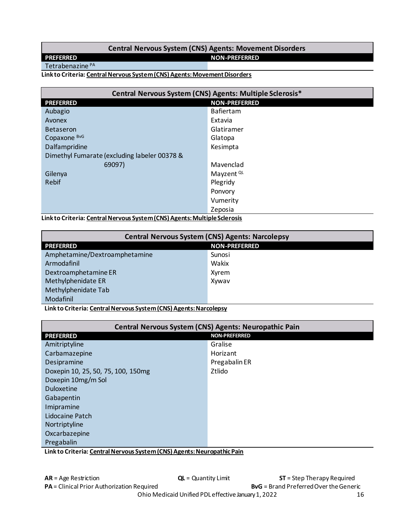#### Central Nervous System (CNS) Agents: Movement Disorders

<span id="page-15-0"></span>**PREFERRED** 

#### **NON-PREFERRED**

Tetrabenazine<sup>PA</sup>

#### Link to Criteria: Central Nervous System (CNS) Agents: Movement Disorders

| Central Nervous System (CNS) Agents: Multiple Sclerosis* |                       |
|----------------------------------------------------------|-----------------------|
| <b>PREFERRED</b>                                         | <b>NON-PREFERRED</b>  |
| Aubagio                                                  | <b>Bafiertam</b>      |
| Avonex                                                   | Extavia               |
| <b>Betaseron</b>                                         | Glatiramer            |
| Copaxone BvG                                             | Glatopa               |
| Dalfampridine                                            | Kesimpta              |
| Dimethyl Fumarate (excluding labeler 00378 &             |                       |
| 69097)                                                   | Mavenclad             |
| Gilenya                                                  | Mayzent <sup>QL</sup> |
| Rebif                                                    | Plegridy              |
|                                                          | Ponvory               |
|                                                          | Vumerity              |
|                                                          | Zeposia               |

Link to Criteria: Central Nervous System (CNS) Agents: Multiple Sclerosis

| <b>Central Nervous System (CNS) Agents: Narcolepsy</b> |                      |  |
|--------------------------------------------------------|----------------------|--|
| <b>PREFERRED</b>                                       | <b>NON-PREFERRED</b> |  |
| Amphetamine/Dextroamphetamine                          | Sunosi               |  |
| Armodafinil                                            | Wakix                |  |
| Dextroamphetamine ER                                   | Xyrem                |  |
| Methylphenidate ER                                     | Xywav                |  |
| Methylphenidate Tab                                    |                      |  |
| Modafinil                                              |                      |  |

Link to Criteria: Central Nervous System (CNS) Agents: Narcolepsy

| Central Nervous System (CNS) Agents: Neuropathic Pain                   |                      |
|-------------------------------------------------------------------------|----------------------|
| <b>PREFERRED</b>                                                        | <b>NON-PREFERRED</b> |
| Amitriptyline                                                           | Gralise              |
| Carbamazepine                                                           | Horizant             |
| Desipramine                                                             | Pregabalin ER        |
| Doxepin 10, 25, 50, 75, 100, 150mg                                      | Ztlido               |
| Doxepin 10mg/m Sol                                                      |                      |
| <b>Duloxetine</b>                                                       |                      |
| Gabapentin                                                              |                      |
| Imipramine                                                              |                      |
| Lidocaine Patch                                                         |                      |
| Nortriptyline                                                           |                      |
| Oxcarbazepine                                                           |                      |
| Pregabalin                                                              |                      |
| Link to Criteria: Central Nervous System (CNS) Agents: Neuronathic Dain |                      |

<u> Link to Criteria: Central Nervous System (CNS) Agents: Neuropathic Pain</u>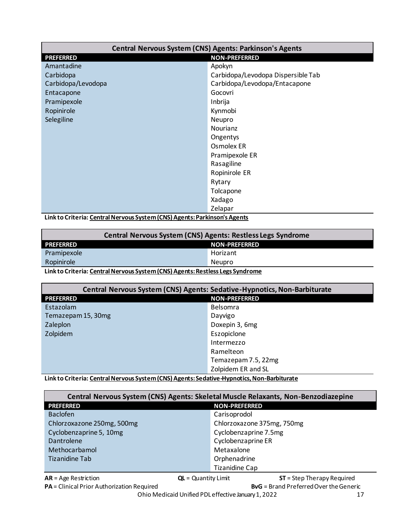<span id="page-16-0"></span>

| <b>Central Nervous System (CNS) Agents: Parkinson's Agents</b> |                                    |
|----------------------------------------------------------------|------------------------------------|
| <b>PREFERRED</b>                                               | <b>NON-PREFERRED</b>               |
| Amantadine                                                     | Apokyn                             |
| Carbidopa                                                      | Carbidopa/Levodopa Dispersible Tab |
| Carbidopa/Levodopa                                             | Carbidopa/Levodopa/Entacapone      |
| Entacapone                                                     | Gocovri                            |
| Pramipexole                                                    | Inbrija                            |
| Ropinirole                                                     | Kynmobi                            |
| Selegiline                                                     | Neupro                             |
|                                                                | <b>Nourianz</b>                    |
|                                                                | Ongentys                           |
|                                                                | Osmolex ER                         |
|                                                                | Pramipexole ER                     |
|                                                                | Rasagiline                         |
|                                                                | Ropinirole ER                      |
|                                                                | Rytary                             |
|                                                                | Tolcapone                          |
|                                                                | Xadago                             |
|                                                                | Zelapar                            |

**Link to Criteria[: Central Nervous System \(CNS\) Agents: Parkinson's Agents](https://pharmacy.medicaid.ohio.gov/sites/default/files/20220101_UPDL_Criteria_Final.pdf#page=41)** 

| <b>Central Nervous System (CNS) Agents: Restless Legs Syndrome</b>            |          |  |
|-------------------------------------------------------------------------------|----------|--|
| <b>PREFERRED</b><br><b>NON-PREFERRED</b>                                      |          |  |
| Pramipexole                                                                   | Horizant |  |
| Ropinirole<br>Neupro                                                          |          |  |
| Link to Criteria: Central Nervous System (CNS) Agents: Restless Legs Syndrome |          |  |

| Central Nervous System (CNS) Agents: Sedative-Hypnotics, Non-Barbiturate |                      |  |
|--------------------------------------------------------------------------|----------------------|--|
| <b>PREFERRED</b>                                                         | <b>NON-PREFERRED</b> |  |
| Estazolam                                                                | Belsomra             |  |
| Temazepam 15, 30mg                                                       | Dayvigo              |  |
| Zaleplon                                                                 | Doxepin 3, 6mg       |  |
| Zolpidem                                                                 | Eszopiclone          |  |
|                                                                          | Intermezzo           |  |
|                                                                          | Ramelteon            |  |
|                                                                          | Temazepam 7.5, 22mg  |  |
| Zolpidem ER and SL                                                       |                      |  |

**Link to Criteria[: Central Nervous System \(CNS\) Agents: Sedative-Hypnotics, Non-Barbiturate](https://pharmacy.medicaid.ohio.gov/sites/default/files/20220101_UPDL_Criteria_Final.pdf#page=43)** 

| Central Nervous System (CNS) Agents: Skeletal Muscle Relaxants, Non-Benzodiazepine |                            |  |
|------------------------------------------------------------------------------------|----------------------------|--|
| <b>PREFERRED</b><br><b>NON-PREFERRED</b>                                           |                            |  |
| <b>Baclofen</b>                                                                    | Carisoprodol               |  |
| Chlorzoxazone 250mg, 500mg                                                         | Chlorzoxazone 375mg, 750mg |  |
| Cyclobenzaprine 5, 10mg                                                            | Cyclobenzaprine 7.5mg      |  |
| Dantrolene                                                                         | Cyclobenzaprine ER         |  |
| Methocarbamol                                                                      | Metaxalone                 |  |
| Tizanidine Tab                                                                     | Orphenadrine               |  |
| <b>Tizanidine Cap</b>                                                              |                            |  |

**AR** = Age Restriction **QL** = Quantity Limit **ST** = Step Therapy Required **PA** = Clinical Prior Authorization Required **BVG** = Brand Preferred Over the Generic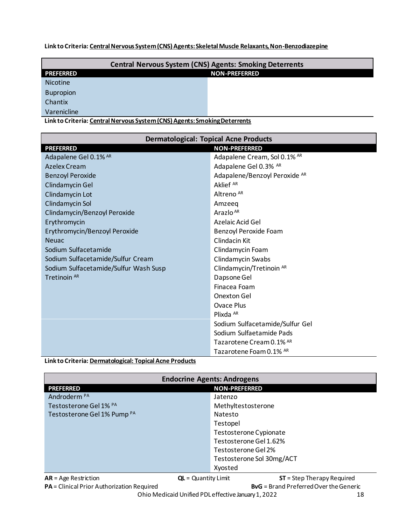#### <span id="page-17-0"></span>**Link to Criteria: [Central Nervous System \(CNS\) Agents: Skeletal Muscle Relaxants, Non-Benzodiazepine](https://pharmacy.medicaid.ohio.gov/sites/default/files/20220101_UPDL_Criteria_Final.pdf#page=44)**

| <b>Central Nervous System (CNS) Agents: Smoking Deterrents</b> |                      |  |  |
|----------------------------------------------------------------|----------------------|--|--|
| <b>PREFERRED</b>                                               | <b>NON-PREFERRED</b> |  |  |
| <b>Nicotine</b>                                                |                      |  |  |
| <b>Bupropion</b>                                               |                      |  |  |
| Chantix                                                        |                      |  |  |
| Varenicline                                                    |                      |  |  |

**Link to Criteria: [Central Nervous System \(CNS\) Agents: Smoking Deterrents](https://pharmacy.medicaid.ohio.gov/sites/default/files/20220101_UPDL_Criteria_Final.pdf#page=45)** 

| <b>Dermatological: Topical Acne Products</b> |                                 |  |
|----------------------------------------------|---------------------------------|--|
| <b>PREFERRED</b>                             | <b>NON-PREFERRED</b>            |  |
| Adapalene Gel 0.1% AR                        | Adapalene Cream, Sol 0.1% AR    |  |
| Azelex Cream                                 | Adapalene Gel 0.3% AR           |  |
| <b>Benzoyl Peroxide</b>                      | Adapalene/Benzoyl Peroxide AR   |  |
| Clindamycin Gel                              | Aklief <sup>AR</sup>            |  |
| Clindamycin Lot                              | Altreno <sup>AR</sup>           |  |
| Clindamycin Sol                              | Amzeeg                          |  |
| Clindamycin/Benzoyl Peroxide                 | Arazlo <sup>AR</sup>            |  |
| Erythromycin                                 | Azelaic Acid Gel                |  |
| Erythromycin/Benzoyl Peroxide                | Benzoyl Peroxide Foam           |  |
| <b>Neuac</b>                                 | Clindacin Kit                   |  |
| Sodium Sulfacetamide                         | Clindamycin Foam                |  |
| Sodium Sulfacetamide/Sulfur Cream            | Clindamycin Swabs               |  |
| Sodium Sulfacetamide/Sulfur Wash Susp        | Clindamycin/Tretinoin AR        |  |
| Tretinoin AR                                 | Dapsone Gel                     |  |
|                                              | Finacea Foam                    |  |
|                                              | Onexton Gel                     |  |
|                                              | Ovace Plus                      |  |
|                                              | Plixda $AR$                     |  |
|                                              | Sodium Sulfacetamide/Sulfur Gel |  |
|                                              | Sodium Sulfaetamide Pads        |  |
|                                              | Tazarotene Cream 0.1% AR        |  |
|                                              | Tazarotene Foam 0.1% AR         |  |

#### **Link to Criteria: [Dermatological: Topical Acne Products](https://pharmacy.medicaid.ohio.gov/sites/default/files/20220101_UPDL_Criteria_Final.pdf#page=46)**

| <b>Endocrine Agents: Androgens</b>       |                                                      |  |
|------------------------------------------|------------------------------------------------------|--|
| <b>NON-PREFERRED</b><br><b>PREFERRED</b> |                                                      |  |
| Androderm <sup>PA</sup>                  | Jatenzo                                              |  |
| Testosterone Gel 1% PA                   | Methyltestosterone                                   |  |
| Testosterone Gel 1% Pump <sup>PA</sup>   | Natesto                                              |  |
|                                          | Testopel                                             |  |
|                                          | Testosterone Cypionate                               |  |
| Testosterone Gel 1.62%                   |                                                      |  |
|                                          | Testosterone Gel 2%                                  |  |
|                                          | Testosterone Sol 30mg/ACT                            |  |
|                                          | Xyosted                                              |  |
| $AR = Age$ Restriction                   | $QL =$ Quantity Limit<br>$ST = Step Theory Required$ |  |

**PA** = Clinical Prior Authorization Required **BVG** = Brand Preferred Over the Generic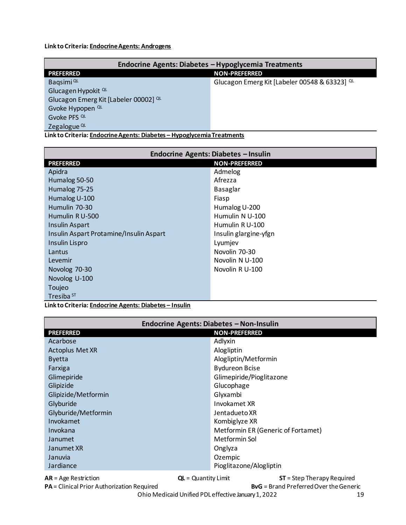<span id="page-18-0"></span>Link to Criteria: Endocrine Agents: Androgens

| Endocrine Agents: Diabetes - Hypoglycemia Treatments                   |                                               |  |  |  |
|------------------------------------------------------------------------|-----------------------------------------------|--|--|--|
| <b>PREFERRED</b>                                                       | <b>NON-PREFERRED</b>                          |  |  |  |
| Bagsimi <sup>QL</sup>                                                  | Glucagon Emerg Kit [Labeler 00548 & 63323] QL |  |  |  |
| Glucagen Hypokit <sup>QL</sup>                                         |                                               |  |  |  |
| Glucagon Emerg Kit [Labeler 00002] QL                                  |                                               |  |  |  |
| Gvoke Hypopen <sup>QL</sup>                                            |                                               |  |  |  |
| Gvoke PFS <sup>QL</sup>                                                |                                               |  |  |  |
| Zegalogue <sup>QL</sup>                                                |                                               |  |  |  |
| Link to Criteria: Endocrine Agents: Diabetes - Hypoglycemia Treatments |                                               |  |  |  |

Endocrine Agents: Diabetes - Insulin **NON-PREFERRED PREFERRED** Apidra Admelog Afrezza Humalog 50-50 Humalog 75-25 Basaglar Humalog U-100 Fiasp Humulin 70-30 Humalog U-200 Humulin R U-500 Humulin N U-100 Humulin RU-100 Insulin Aspart Insulin glargine-yfgn Insulin Aspart Protamine/Insulin Aspart Lyumjev **Insulin Lispro** Lantus Novolin 70-30 Levemir Novolin N U-100 Novolog 70-30 Novolin R U-100 Novolog U-100 Toujeo Tresiba<sup>ST</sup>

Link to Criteria: Endocrine Agents: Diabetes-Insulin

| Endocrine Agents: Diabetes - Non-Insulin                                        |                                    |  |
|---------------------------------------------------------------------------------|------------------------------------|--|
| <b>PREFERRED</b>                                                                | <b>NON-PREFERRED</b>               |  |
| Acarbose                                                                        | Adlyxin                            |  |
| <b>Actoplus Met XR</b>                                                          | Alogliptin                         |  |
| <b>Byetta</b>                                                                   | Alogliptin/Metformin               |  |
| Farxiga                                                                         | <b>Bydureon Bcise</b>              |  |
| Glimepiride                                                                     | Glimepiride/Pioglitazone           |  |
| Glipizide                                                                       | Glucophage                         |  |
| Glipizide/Metformin                                                             | Glyxambi                           |  |
| Glyburide                                                                       | Invokamet XR                       |  |
| Glyburide/Metformin                                                             | Jentadueto XR                      |  |
| Invokamet                                                                       | Kombiglyze XR                      |  |
| Invokana                                                                        | Metformin ER (Generic of Fortamet) |  |
| Janumet                                                                         | Metformin Sol                      |  |
| Janumet XR                                                                      | Onglyza                            |  |
| Januvia                                                                         | Ozempic                            |  |
| Jardiance                                                                       | Pioglitazone/Alogliptin            |  |
| $QL =$ Quantity Limit<br>$ST =$ Step Therapy Required<br>$AR = Age$ Restriction |                                    |  |

PA = Clinical Prior Authorization Required

**ByG** = Brand Preferred Over the Generic

Ohio Medicaid Unified PDL effective January 1, 2022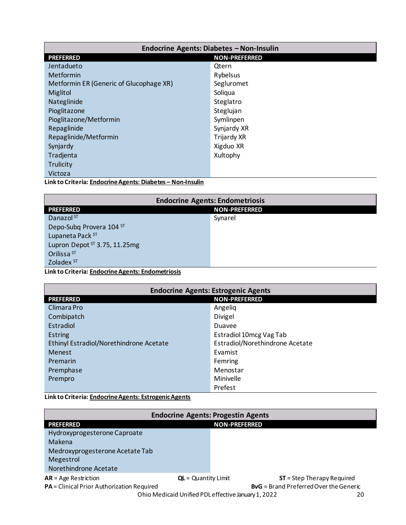<span id="page-19-0"></span>

| Endocrine Agents: Diabetes - Non-Insulin                        |             |  |  |
|-----------------------------------------------------------------|-------------|--|--|
| <b>PREFERRED</b><br><b>NON-PREFERRED</b>                        |             |  |  |
| Jentadueto                                                      | Qtern       |  |  |
| Metformin                                                       | Rybelsus    |  |  |
| Metformin ER (Generic of Glucophage XR)                         | Segluromet  |  |  |
| Miglitol                                                        | Soliqua     |  |  |
| Nateglinide                                                     | Steglatro   |  |  |
| Pioglitazone                                                    | Steglujan   |  |  |
| Pioglitazone/Metformin                                          | Symlinpen   |  |  |
| Repaglinide                                                     | Synjardy XR |  |  |
| Repaglinide/Metformin                                           | Trijardy XR |  |  |
| Synjardy                                                        | Xigduo XR   |  |  |
| Tradjenta                                                       | Xultophy    |  |  |
| Trulicity                                                       |             |  |  |
| Victoza                                                         |             |  |  |
| t belata Cultania: Federale e Angusta: Diebeter - Niger Juselie |             |  |  |

Link to Criteria: Endocrine Agents: Diabetes - Non-Insulin

| <b>Endocrine Agents: Endometriosis</b>                         |         |  |  |
|----------------------------------------------------------------|---------|--|--|
| <b>NON-PREFERRED</b><br><b>PREFERRED</b>                       |         |  |  |
| Danazol <sup>ST</sup>                                          | Synarel |  |  |
| Depo-Subg Provera 104 ST                                       |         |  |  |
| Lupaneta Pack ST                                               |         |  |  |
| Lupron Depot ST 3.75, 11.25mg                                  |         |  |  |
| Orilissa <sup>ST</sup>                                         |         |  |  |
| Zoladex <sup>ST</sup>                                          |         |  |  |
| The later Cultural exploration of a contex Ford constants also |         |  |  |

Link to Criteria: Endocrine Agents: Endometriosis

| <b>Endocrine Agents: Estrogenic Agents</b> |                                 |  |
|--------------------------------------------|---------------------------------|--|
| <b>PREFERRED</b><br><b>NON-PREFERRED</b>   |                                 |  |
| Climara Pro                                | Angeliq                         |  |
| Combipatch                                 | Divigel                         |  |
| Estradiol                                  | Duavee                          |  |
| <b>Estring</b>                             | Estradiol 10mcg Vag Tab         |  |
| Ethinyl Estradiol/Norethindrone Acetate    | Estradiol/Norethindrone Acetate |  |
| Menest                                     | Evamist                         |  |
| Premarin                                   | Femring                         |  |
| Premphase                                  | Menostar                        |  |
| Prempro                                    | Minivelle                       |  |
| Prefest                                    |                                 |  |

Link to Criteria: Endocrine Agents: Estrogenic Agents

| <b>Endocrine Agents: Progestin Agents</b>                 |                       |                                               |
|-----------------------------------------------------------|-----------------------|-----------------------------------------------|
| <b>PREFERRED</b>                                          | <b>NON-PREFERRED</b>  |                                               |
| Hydroxyprogesterone Caproate                              |                       |                                               |
| Makena                                                    |                       |                                               |
| Medroxyprogesterone Acetate Tab                           |                       |                                               |
| Megestrol                                                 |                       |                                               |
| Norethindrone Acetate                                     |                       |                                               |
| $AR = Age$ Restriction                                    | $QL =$ Quantity Limit | $ST =$ Step Therapy Required                  |
| <b>PA</b> = Clinical Prior Authorization Required         |                       | <b>ByG</b> = Brand Preferred Over the Generic |
| Ohio Medicaid Unified PDL effective January 1, 2022<br>20 |                       |                                               |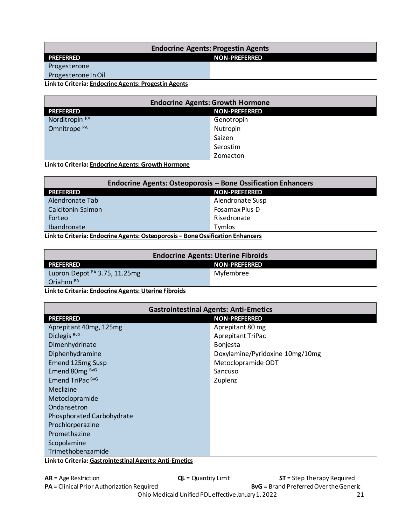#### <span id="page-20-0"></span>**Endocrine Agents: Progestin Agents PREFERRED NON-PREFERRED** Progesterone

Progesterone In Oil

**Link to Criteria: [Endocrine Agents: Progestin Agents](https://pharmacy.medicaid.ohio.gov/sites/default/files/20220101_UPDL_Criteria_Final.pdf#page=53)**

| <b>Endocrine Agents: Growth Hormone</b>  |            |
|------------------------------------------|------------|
| <b>NON-PREFERRED</b><br><b>PREFERRED</b> |            |
| Norditropin <sup>PA</sup>                | Genotropin |
| Omnitrope <sup>PA</sup>                  | Nutropin   |
|                                          | Saizen     |
|                                          | Serostim   |
|                                          | Zomacton   |

**Link to Criteria: [Endocrine Agents: Growth Hormone](https://pharmacy.medicaid.ohio.gov/sites/default/files/20220101_UPDL_Criteria_Final.pdf#page=54)**

| <b>Endocrine Agents: Osteoporosis - Bone Ossification Enhancers</b>            |                      |
|--------------------------------------------------------------------------------|----------------------|
| <b>PREFERRED</b>                                                               | <b>NON-PREFERRED</b> |
| Alendronate Tab                                                                | Alendronate Susp     |
| Calcitonin-Salmon                                                              | Fosamax Plus D       |
| Forteo                                                                         | Risedronate          |
| Ibandronate                                                                    | <b>Tymlos</b>        |
| Link to Criteria: Endocrine Agents: Osteoporosis - Bone Ossification Enhancers |                      |

| <b>Endocrine Agents: Uterine Fibroids</b> |                      |
|-------------------------------------------|----------------------|
| <b>PREFERRED</b>                          | <b>NON-PREFERRED</b> |
| Lupron Depot <sup>PA</sup> 3.75, 11.25mg  | Myfembree            |
| Oriahnn <sup>PA</sup>                     |                      |

**Link to Criteria: [Endocrine Agents: Uterine Fibroids](https://pharmacy.medicaid.ohio.gov/sites/default/files/20220101_UPDL_Criteria_Final.pdf#page=58)** 

| <b>Gastrointestinal Agents: Anti-Emetics</b>           |                                 |  |
|--------------------------------------------------------|---------------------------------|--|
| <b>PREFERRED</b>                                       | <b>NON-PREFERRED</b>            |  |
| Aprepitant 40mg, 125mg                                 | Aprepitant 80 mg                |  |
| Diclegis BvG                                           | <b>Aprepitant TriPac</b>        |  |
| Dimenhydrinate                                         | <b>Bonjesta</b>                 |  |
| Diphenhydramine                                        | Doxylamine/Pyridoxine 10mg/10mg |  |
| Emend 125mg Susp                                       | Metoclopramide ODT              |  |
| Emend 80mg BvG                                         | Sancuso                         |  |
| Emend TriPac BvG                                       | Zuplenz                         |  |
| <b>Meclizine</b>                                       |                                 |  |
| Metoclopramide                                         |                                 |  |
| Ondansetron                                            |                                 |  |
| Phosphorated Carbohydrate                              |                                 |  |
| Prochlorperazine                                       |                                 |  |
| Promethazine                                           |                                 |  |
| Scopolamine                                            |                                 |  |
| Trimethobenzamide                                      |                                 |  |
| Linkto Critaria: Cactrointectinal Aconta: Anti-Emotics |                                 |  |

**Link to Criteria: [Gastrointestinal Agents: Anti-Emetics](https://pharmacy.medicaid.ohio.gov/sites/default/files/20220101_UPDL_Criteria_Final.pdf#page=59)**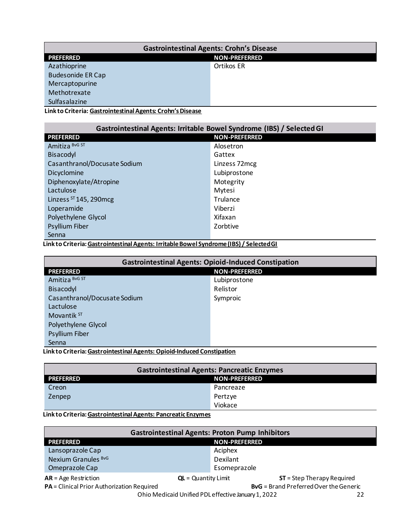<span id="page-21-0"></span>

| <b>Gastrointestinal Agents: Crohn's Disease</b> |                      |
|-------------------------------------------------|----------------------|
| <b>PREFERRED</b>                                | <b>NON-PREFERRED</b> |
| Azathioprine                                    | Ortikos ER           |
| <b>Budesonide ER Cap</b>                        |                      |
| Mercaptopurine                                  |                      |
| Methotrexate                                    |                      |
| Sulfasalazine                                   |                      |

**Link to Criteria: [Gastrointestinal Agents: Crohn's Disease](https://pharmacy.medicaid.ohio.gov/sites/default/files/20220101_UPDL_Criteria_Final.pdf#page=60)**

| Gastrointestinal Agents: Irritable Bowel Syndrome (IBS) / Selected GI |                      |
|-----------------------------------------------------------------------|----------------------|
| <b>PREFERRED</b>                                                      | <b>NON-PREFERRED</b> |
| Amitiza BvG ST                                                        | Alosetron            |
| Bisacodyl                                                             | Gattex               |
| Casanthranol/Docusate Sodium                                          | Linzess 72mcg        |
| Dicyclomine                                                           | Lubiprostone         |
| Diphenoxylate/Atropine                                                | Motegrity            |
| Lactulose                                                             | Mytesi               |
| Linzess $ST$ 145, 290 mcg                                             | Trulance             |
| Loperamide                                                            | Viberzi              |
| Polyethylene Glycol                                                   | Xifaxan              |
| <b>Psyllium Fiber</b>                                                 | Zorbtive             |
| Senna                                                                 |                      |

**Link to Criteria: [Gastrointestinal Agents: Irritable Bowel Syndrome \(IBS\) / Selected GI](https://pharmacy.medicaid.ohio.gov/sites/default/files/20220101_UPDL_Criteria_Final.pdf#page=61)** 

| <b>Gastrointestinal Agents: Opioid-Induced Constipation</b> |                      |
|-------------------------------------------------------------|----------------------|
| <b>PREFERRED</b>                                            | <b>NON-PREFERRED</b> |
| Amitiza BvG ST                                              | Lubiprostone         |
| Bisacodyl                                                   | Relistor             |
| Casanthranol/Docusate Sodium                                | Symproic             |
| Lactulose                                                   |                      |
| Movantik ST                                                 |                      |
| Polyethylene Glycol                                         |                      |
| <b>Psyllium Fiber</b>                                       |                      |
| Senna                                                       |                      |

**Link to Criteria: [Gastrointestinal Agents: Opioid-Induced Constipation](https://pharmacy.medicaid.ohio.gov/sites/default/files/20220101_UPDL_Criteria_Final.pdf#page=62)**

| <b>Gastrointestinal Agents: Pancreatic Enzymes</b> |           |
|----------------------------------------------------|-----------|
| <b>PREFERRED</b><br><b>NON-PREFERRED</b>           |           |
| Creon                                              | Pancreaze |
| Zenpep                                             | Pertzye   |
|                                                    | Viokace   |

**Link to Criteria: [Gastrointestinal Agents: Pancreatic Enzymes](https://pharmacy.medicaid.ohio.gov/sites/default/files/20220101_UPDL_Criteria_Final.pdf#page=63)**

| <b>Gastrointestinal Agents: Proton Pump Inhibitors</b>                                      |                       |                             |
|---------------------------------------------------------------------------------------------|-----------------------|-----------------------------|
| <b>PREFERRED</b>                                                                            | <b>NON-PREFERRED</b>  |                             |
| Lansoprazole Cap                                                                            | Aciphex               |                             |
| Nexium Granules BvG                                                                         | Dexilant              |                             |
| Omeprazole Cap                                                                              | Esomeprazole          |                             |
| $AR = Age$ Restriction                                                                      | $QL =$ Quantity Limit | $ST = Step Theory Required$ |
| <b>BvG</b> = Brand Preferred Over the Generic<br>PA = Clinical Prior Authorization Required |                       |                             |
| Ohio Medicaid Unified PDL effective January 1, 2022                                         |                       |                             |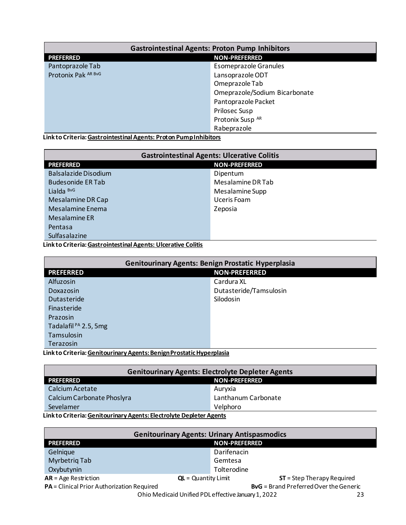<span id="page-22-0"></span>

| <b>Gastrointestinal Agents: Proton Pump Inhibitors</b> |                               |
|--------------------------------------------------------|-------------------------------|
| <b>PREFERRED</b>                                       | <b>NON-PREFERRED</b>          |
| Pantoprazole Tab                                       | <b>Esomeprazole Granules</b>  |
| Protonix Pak AR BvG                                    | Lansoprazole ODT              |
|                                                        | Omeprazole Tab                |
|                                                        | Omeprazole/Sodium Bicarbonate |
|                                                        | Pantoprazole Packet           |
|                                                        | <b>Prilosec Susp</b>          |
|                                                        | Protonix Susp AR              |
|                                                        | Rabeprazole                   |

**Link to Criteria: [Gastrointestinal Agents: Proton Pump Inhibitors](https://pharmacy.medicaid.ohio.gov/sites/default/files/20220101_UPDL_Criteria_Final.pdf#page=64)** 

| <b>Gastrointestinal Agents: Ulcerative Colitis</b> |                      |
|----------------------------------------------------|----------------------|
| <b>PREFERRED</b>                                   | <b>NON-PREFERRED</b> |
| <b>Balsalazide Disodium</b>                        | Dipentum             |
| <b>Budesonide ER Tab</b>                           | Mesalamine DR Tab    |
| Lialda BvG                                         | Mesalamine Supp      |
| Mesalamine DR Cap                                  | Uceris Foam          |
| Mesalamine Enema                                   | Zeposia              |
| Mesalamine ER                                      |                      |
| Pentasa                                            |                      |
| Sulfasalazine                                      |                      |

**Link to Criteria: [Gastrointestinal Agents: Ulcerative Colitis](https://pharmacy.medicaid.ohio.gov/sites/default/files/20220101_UPDL_Criteria_Final.pdf#page=65)** 

| <b>Genitourinary Agents: Benign Prostatic Hyperplasia</b>           |                        |  |
|---------------------------------------------------------------------|------------------------|--|
| <b>PREFERRED</b>                                                    | <b>NON-PREFERRED</b>   |  |
| <b>Alfuzosin</b>                                                    | Cardura XL             |  |
| Doxazosin                                                           | Dutasteride/Tamsulosin |  |
| Dutasteride                                                         | Silodosin              |  |
| Finasteride                                                         |                        |  |
| Prazosin                                                            |                        |  |
| Tadalafil <sup>PA</sup> 2.5, 5mg                                    |                        |  |
| Tamsulosin                                                          |                        |  |
| Terazosin                                                           |                        |  |
| talet e Astronia: Aentroniaem: Aenara: Benizo Baerrerich Henemalede |                        |  |

**Link to Criteria: [Genitourinary Agents: Benign Prostatic Hyperplasia](https://pharmacy.medicaid.ohio.gov/sites/default/files/20220101_UPDL_Criteria_Final.pdf#page=66)** 

| <b>Genitourinary Agents: Electrolyte Depleter Agents</b>            |                     |  |
|---------------------------------------------------------------------|---------------------|--|
| <b>PREFERRED</b><br><b>NON-PREFERRED</b>                            |                     |  |
| Calcium Acetate                                                     | Auryxia             |  |
| Calcium Carbonate Phoslyra                                          | Lanthanum Carbonate |  |
| Sevelamer<br>Velphoro                                               |                     |  |
| Link to Criteria: Genitourinary Agents: Electrolyte Depleter Agents |                     |  |

| <b>Genitourinary Agents: Urinary Antispasmodics</b>                                         |                                                      |  |
|---------------------------------------------------------------------------------------------|------------------------------------------------------|--|
| <b>PREFERRED</b>                                                                            | <b>NON-PREFERRED</b>                                 |  |
| Gelnique                                                                                    | Darifenacin                                          |  |
| Myrbetrig Tab                                                                               | Gemtesa                                              |  |
| Oxybutynin                                                                                  | Tolterodine                                          |  |
| $AR = Age$ Restriction                                                                      | $ST = Step Theory Required$<br>$QL =$ Quantity Limit |  |
| <b>BvG</b> = Brand Preferred Over the Generic<br>PA = Clinical Prior Authorization Required |                                                      |  |
| Ohio Medicaid Unified PDL effective January 1, 2022<br>23                                   |                                                      |  |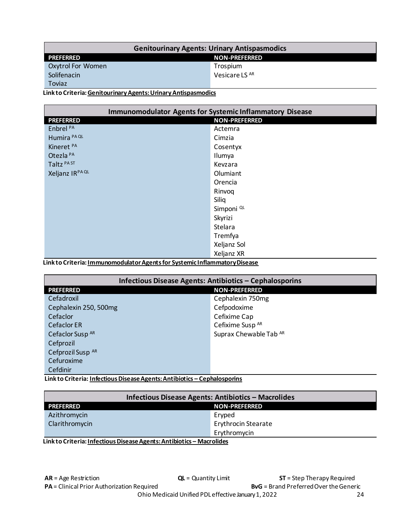<span id="page-23-0"></span>

| <b>NON-PREFERRED</b> |
|----------------------|
| Trospium             |
| Vesicare LS AR       |
|                      |
|                      |

#### Link to Criteria: Genitourinary Agents: Urinary Antispasmodics

| <b>Immunomodulator Agents for Systemic Inflammatory Disease</b> |                       |  |
|-----------------------------------------------------------------|-----------------------|--|
| <b>NON-PREFERRED</b><br><b>PREFERRED</b>                        |                       |  |
| Enbrel <sup>PA</sup>                                            | Actemra               |  |
| Humira PA QL                                                    | Cimzia                |  |
| Kineret <sup>PA</sup>                                           | Cosentyx              |  |
| Otezla <sup>PA</sup>                                            | Ilumya                |  |
| Taltz PAST                                                      | Kevzara               |  |
| Xeljanz IRPA QL                                                 | Olumiant              |  |
|                                                                 | Orencia               |  |
|                                                                 | Rinvoq                |  |
|                                                                 | Siliq                 |  |
|                                                                 | Simponi <sup>QL</sup> |  |
|                                                                 | Skyrizi               |  |
|                                                                 | Stelara               |  |
|                                                                 | Tremfya               |  |
|                                                                 | Xeljanz Sol           |  |
|                                                                 | Xeljanz XR            |  |

Link to Criteria: <u>Immunomodulator Agents for Systemic Inflammatory Disease</u>

| Infectious Disease Agents: Antibiotics - Cephalosporins |                             |  |
|---------------------------------------------------------|-----------------------------|--|
| <b>NON-PREFERRED</b><br><b>PREFERRED</b>                |                             |  |
| Cefadroxil                                              | Cephalexin 750mg            |  |
| Cephalexin 250, 500mg                                   | Cefpodoxime                 |  |
| Cefaclor                                                | Cefixime Cap                |  |
| <b>Cefaclor ER</b>                                      | Cefixime Susp <sup>AR</sup> |  |
| Cefaclor Susp <sup>AR</sup>                             | Suprax Chewable Tab AR      |  |
| Cefprozil                                               |                             |  |
| Cefprozil Susp AR                                       |                             |  |
| Cefuroxime                                              |                             |  |
| Cefdinir                                                |                             |  |

Link to Criteria: Infectious Disease Agents: Antibiotics - Cephalosporins

| Infectious Disease Agents: Antibiotics - Macrolides |  |  |
|-----------------------------------------------------|--|--|
| <b>NON-PREFERRED</b>                                |  |  |
| Eryped                                              |  |  |
| <b>Erythrocin Stearate</b>                          |  |  |
| Erythromycin                                        |  |  |
|                                                     |  |  |

Link to Criteria: Infectious Disease Agents: Antibiotics - Macrolides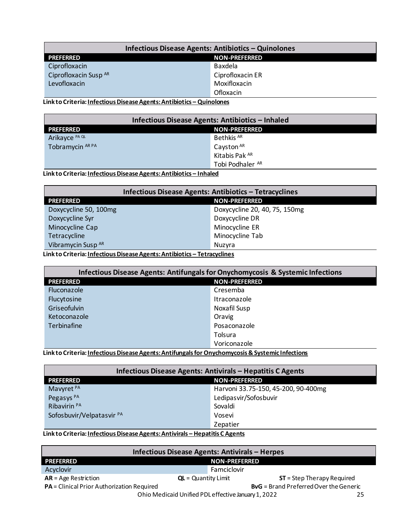<span id="page-24-0"></span>

| Infectious Disease Agents: Antibiotics - Quinolones |                      |  |
|-----------------------------------------------------|----------------------|--|
| <b>PREFERRED</b>                                    | <b>NON-PREFERRED</b> |  |
| Ciprofloxacin                                       | Baxdela              |  |
| Ciprofloxacin Susp AR                               | Ciprofloxacin ER     |  |
| Levofloxacin                                        | Moxifloxacin         |  |
|                                                     | Ofloxacin            |  |

Link to Criteria: Infectious Disease Agents: Antibiotics - Quinolones

| Infectious Disease Agents: Antibiotics - Inhaled |                       |  |
|--------------------------------------------------|-----------------------|--|
| <b>PREFERRED</b>                                 | <b>NON-PREFERRED</b>  |  |
| Arikayce <sup>PA QL</sup>                        | Bethkis <sup>AR</sup> |  |
| Tobramycin AR PA                                 | Cayston <sup>AR</sup> |  |
|                                                  | Kitabis Pak AR        |  |
|                                                  | Tobi Podhaler AR      |  |

Link to Criteria: Infectious Disease Agents: Antibiotics - Inhaled

| Infectious Disease Agents: Antibiotics - Tetracyclines                   |                               |  |
|--------------------------------------------------------------------------|-------------------------------|--|
| <b>NON-PREFERRED</b><br><b>PREFERRED</b>                                 |                               |  |
| Doxycycline 50, 100mg                                                    | Doxycycline 20, 40, 75, 150mg |  |
| Doxycycline Syr                                                          | Doxycycline DR                |  |
| Minocycline Cap                                                          | Minocycline ER                |  |
| Tetracycline                                                             | Minocycline Tab               |  |
| Vibramycin Susp AR                                                       | Nuzvra                        |  |
| Link to Critoria: Infortious Disogra Agants: Antibiotics - Totropyslings |                               |  |

<u> Link to Criteria: Infectious Disease Agents: Antibiotics – Tetracyclines</u> г

| Infectious Disease Agents: Antifungals for Onychomycosis & Systemic Infections |                      |  |
|--------------------------------------------------------------------------------|----------------------|--|
| <b>PREFERRED</b>                                                               | <b>NON-PREFERRED</b> |  |
| Fluconazole                                                                    | Cresemba             |  |
| Flucytosine                                                                    | Itraconazole         |  |
| Griseofulvin                                                                   | Noxafil Susp         |  |
| Ketoconazole                                                                   | Oravig               |  |
| Terbinafine                                                                    | Posaconazole         |  |
|                                                                                | Tolsura              |  |
|                                                                                | Voriconazole         |  |

Link to Criteria: Infectious Disease Agents: Antifungals for Onychomycosis & Systemic Infections

| Infectious Disease Agents: Antivirals - Hepatitis C Agents |                                     |  |
|------------------------------------------------------------|-------------------------------------|--|
| <b>NON-PREFERRED</b><br><b>PREFERRED</b>                   |                                     |  |
| Mavyret <sup>PA</sup>                                      | Harvoni 33.75-150, 45-200, 90-400mg |  |
| Pegasys <sup>PA</sup>                                      | Ledipasvir/Sofosbuvir               |  |
| Ribavirin <sup>PA</sup>                                    | Sovaldi                             |  |
| Sofosbuvir/Velpatasvir <sup>PA</sup>                       | Vosevi                              |  |
|                                                            | Zepatier                            |  |

Link to Criteria: Infectious Disease Agents: Antivirals - Hepatitis C Agents

| Infectious Disease Agents: Antivirals - Herpes            |                       |                                               |
|-----------------------------------------------------------|-----------------------|-----------------------------------------------|
| <b>PREFERRED</b>                                          | <b>NON-PREFERRED</b>  |                                               |
| Acyclovir                                                 | Famciclovir           |                                               |
| $AR = Age$ Restriction                                    | $QL =$ Quantity Limit | $ST =$ Step Therapy Required                  |
| PA = Clinical Prior Authorization Required                |                       | <b>BvG</b> = Brand Preferred Over the Generic |
| Ohio Medicaid Unified PDL effective January 1, 2022<br>25 |                       |                                               |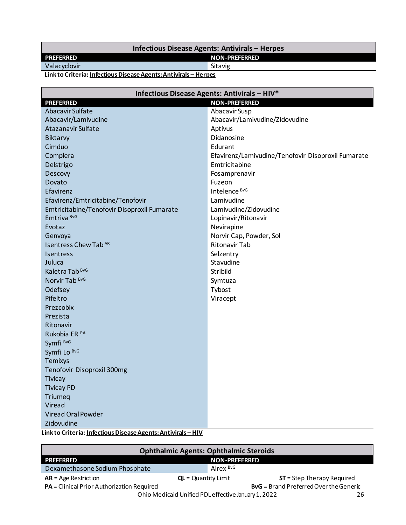#### **Infectious Disease Agents: Antivirals – Herpes**

## <span id="page-25-0"></span>**PREFERRED NON-PREFERRED**<br>
Valacyclovir Sitavig Sitavig

Valacyclovir

**Link to Criteria[: Infectious Disease Agents: Antivirals](https://pharmacy.medicaid.ohio.gov/sites/default/files/20220101_UPDL_Criteria_Final.pdf#page=78) – Herpes** 

| Infectious Disease Agents: Antivirals - HIV* |                                                    |
|----------------------------------------------|----------------------------------------------------|
| <b>PREFERRED</b>                             | <b>NON-PREFERRED</b>                               |
| Abacavir Sulfate                             | Abacavir Susp                                      |
| Abacavir/Lamivudine                          | Abacavir/Lamivudine/Zidovudine                     |
| <b>Atazanavir Sulfate</b>                    | Aptivus                                            |
| <b>Biktarvy</b>                              | Didanosine                                         |
| Cimduo                                       | Edurant                                            |
| Complera                                     | Efavirenz/Lamivudine/Tenofovir Disoproxil Fumarate |
| Delstrigo                                    | Emtricitabine                                      |
| Descovy                                      | Fosamprenavir                                      |
| Dovato                                       | Fuzeon                                             |
| Efavirenz                                    | Intelence BvG                                      |
| Efavirenz/Emtricitabine/Tenofovir            | Lamivudine                                         |
| Emtricitabine/Tenofovir Disoproxil Fumarate  | Lamivudine/Zidovudine                              |
| Emtriva <sup>BvG</sup>                       | Lopinavir/Ritonavir                                |
| Evotaz                                       | Nevirapine                                         |
| Genvoya                                      | Norvir Cap, Powder, Sol                            |
| <b>Isentress Chew Tab AR</b>                 | <b>Ritonavir Tab</b>                               |
| Isentress                                    | Selzentry                                          |
| Juluca                                       | Stavudine                                          |
| Kaletra Tab <sup>BvG</sup>                   | Stribild                                           |
| Norvir Tab BvG                               | Symtuza                                            |
| Odefsey                                      | Tybost                                             |
| Pifeltro                                     | Viracept                                           |
| Prezcobix                                    |                                                    |
| Prezista                                     |                                                    |
| Ritonavir                                    |                                                    |
| Rukobia ER <sup>PA</sup>                     |                                                    |
| Symfi BvG                                    |                                                    |
| Symfi Lo BvG                                 |                                                    |
| <b>Temixys</b>                               |                                                    |
| Tenofovir Disoproxil 300mg                   |                                                    |
| <b>Tivicay</b>                               |                                                    |
| <b>Tivicay PD</b>                            |                                                    |
| Triumeg                                      |                                                    |
| Viread                                       |                                                    |
| <b>Viread Oral Powder</b>                    |                                                    |
| Zidovudine                                   |                                                    |

**Link to Criteria[: Infectious Disease Agents: Antivirals](https://pharmacy.medicaid.ohio.gov/sites/default/files/20220101_UPDL_Criteria_Final.pdf#page=79) – HIV** 

| <b>Ophthalmic Agents: Ophthalmic Steroids</b>                                               |                                                       |  |
|---------------------------------------------------------------------------------------------|-------------------------------------------------------|--|
| <b>PREFERRED</b>                                                                            | <b>NON-PREFERRED</b>                                  |  |
| Dexamethasone Sodium Phosphate                                                              | Alrex BvG                                             |  |
| $AR = Age$ Restriction                                                                      | $ST =$ Step Therapy Required<br>$QL =$ Quantity Limit |  |
| <b>BvG</b> = Brand Preferred Over the Generic<br>PA = Clinical Prior Authorization Required |                                                       |  |
| Ohio Medicaid Unified PDL effective January 1, 2022<br>26                                   |                                                       |  |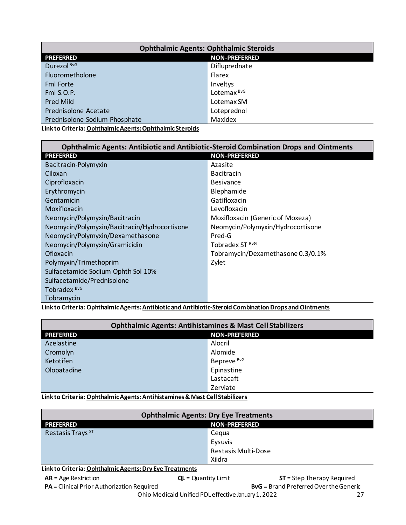<span id="page-26-0"></span>

| <b>Ophthalmic Agents: Ophthalmic Steroids</b>               |                        |
|-------------------------------------------------------------|------------------------|
| <b>PREFERRED</b>                                            | <b>NON-PREFERRED</b>   |
| Durezol BvG                                                 | Difluprednate          |
| Fluorometholone                                             | Flarex                 |
| <b>Fml Forte</b>                                            | Inveltys               |
| Fml S.O.P.                                                  | Lotemax <sup>BvG</sup> |
| <b>Pred Mild</b>                                            | Lotemax SM             |
| Prednisolone Acetate                                        | Loteprednol            |
| Prednisolone Sodium Phosphate                               | Maxidex                |
| t belata Cultanlar Ombibalarka Amerika Ombibalarka Chanakla |                        |

**Link to Criteria: [Ophthalmic Agents: Ophthalmic Steroids](https://pharmacy.medicaid.ohio.gov/sites/default/files/20220101_UPDL_Criteria_Final.pdf#page=80)**

| <b>Ophthalmic Agents: Antibiotic and Antibiotic-Steroid Combination Drops and Ointments</b> |                                   |
|---------------------------------------------------------------------------------------------|-----------------------------------|
| <b>PREFERRED</b>                                                                            | <b>NON-PREFERRED</b>              |
| Bacitracin-Polymyxin                                                                        | Azasite                           |
| Ciloxan                                                                                     | <b>Bacitracin</b>                 |
| Ciprofloxacin                                                                               | <b>Besivance</b>                  |
| Erythromycin                                                                                | Blephamide                        |
| Gentamicin                                                                                  | Gatifloxacin                      |
| Moxifloxacin                                                                                | Levofloxacin                      |
| Neomycin/Polymyxin/Bacitracin                                                               | Moxifloxacin (Generic of Moxeza)  |
| Neomycin/Polymyxin/Bacitracin/Hydrocortisone                                                | Neomycin/Polymyxin/Hydrocortisone |
| Neomycin/Polymyxin/Dexamethasone                                                            | Pred-G                            |
| Neomycin/Polymyxin/Gramicidin                                                               | Tobradex ST BvG                   |
| Ofloxacin                                                                                   | Tobramycin/Dexamethasone 0.3/0.1% |
| Polymyxin/Trimethoprim                                                                      | Zylet                             |
| Sulfacetamide Sodium Ophth Sol 10%                                                          |                                   |
| Sulfacetamide/Prednisolone                                                                  |                                   |
| Tobradex <sup>BvG</sup>                                                                     |                                   |
| Tobramycin                                                                                  |                                   |

**Link to Criteria: Ophthalmic Agents: [Antibiotic and Antibiotic-Steroid Combination Drops and Ointments](https://pharmacy.medicaid.ohio.gov/sites/default/files/20220101_UPDL_Criteria_Final.pdf#page=81)** 

| <b>Ophthalmic Agents: Antihistamines &amp; Mast Cell Stabilizers</b>         |                        |
|------------------------------------------------------------------------------|------------------------|
| <b>PREFERRED</b>                                                             | <b>NON-PREFERRED</b>   |
| Azelastine                                                                   | Alocril                |
| Cromolyn                                                                     | Alomide                |
| Ketotifen                                                                    | Bepreve <sup>BvG</sup> |
| Olopatadine                                                                  | Epinastine             |
|                                                                              | Lastacaft              |
| Zerviate                                                                     |                        |
| Lielcto Critoria: Onbtholmic Aconta: Antibiotomines 9, Mast Coll Stabilizare |                        |

**Link to Criteria: [Ophthalmic Agents: Antihistamines & Mast Cell Stabilizers](https://pharmacy.medicaid.ohio.gov/sites/default/files/20220101_UPDL_Criteria_Final.pdf#page=82)** 

| <b>Ophthalmic Agents: Dry Eye Treatments</b>            |                            |
|---------------------------------------------------------|----------------------------|
| <b>PREFERRED</b>                                        | <b>NON-PREFERRED</b>       |
| Restasis Trays ST                                       | Cegua                      |
|                                                         | Eysuvis                    |
|                                                         | <b>Restasis Multi-Dose</b> |
|                                                         | Xiidra                     |
| Link to Criteria: Ophthalmic Agents: Dry Eye Treatments |                            |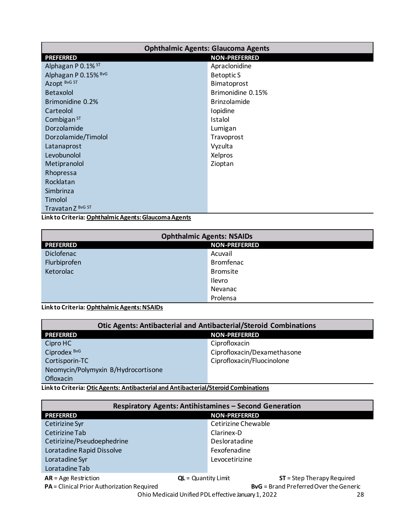<span id="page-27-0"></span>

| <b>Ophthalmic Agents: Glaucoma Agents</b>            |                      |
|------------------------------------------------------|----------------------|
| <b>PREFERRED</b>                                     | <b>NON-PREFERRED</b> |
| Alphagan P 0.1% ST                                   | Apraclonidine        |
| Alphagan P 0.15% BvG                                 | <b>Betoptic S</b>    |
| Azopt BvG ST                                         | Bimatoprost          |
| <b>Betaxolol</b>                                     | Brimonidine 0.15%    |
| Brimonidine 0.2%                                     | <b>Brinzolamide</b>  |
| Carteolol                                            | Iopidine             |
| Combigan $ST$                                        | Istalol              |
| Dorzolamide                                          | Lumigan              |
| Dorzolamide/Timolol                                  | Travoprost           |
| Latanaprost                                          | Vyzulta              |
| Levobunolol                                          | Xelpros              |
| Metipranolol                                         | Zioptan              |
| Rhopressa                                            |                      |
| Rocklatan                                            |                      |
| Simbrinza                                            |                      |
| Timolol                                              |                      |
| Travatan Z BvG ST                                    |                      |
| Link to Criteria: Ophthalmic Agents: Glaucoma Agents |                      |

| <b>Ophthalmic Agents: NSAIDs</b> |                      |
|----------------------------------|----------------------|
| <b>PREFERRED</b>                 | <b>NON-PREFERRED</b> |
| Diclofenac                       | Acuvail              |
| Flurbiprofen                     | <b>Bromfenac</b>     |
| Ketorolac                        | <b>Bromsite</b>      |
|                                  | Ilevro               |
|                                  | Nevanac              |
|                                  | Prolensa             |

**Link to Criteria: [Ophthalmic Agents: NSAIDs](https://pharmacy.medicaid.ohio.gov/sites/default/files/20220101_UPDL_Criteria_Final.pdf#page=85)** 

| <b>Otic Agents: Antibacterial and Antibacterial/Steroid Combinations</b> |                             |
|--------------------------------------------------------------------------|-----------------------------|
| <b>PREFERRED</b>                                                         | <b>NON-PREFERRED</b>        |
| Cipro HC                                                                 | Ciprofloxacin               |
| Ciprodex <sup>BvG</sup>                                                  | Ciprofloxacin/Dexamethasone |
| Cortisporin-TC                                                           | Ciprofloxacin/Fluocinolone  |
| Neomycin/Polymyxin B/Hydrocortisone                                      |                             |
| Ofloxacin                                                                |                             |

**Link to Criteria: [Otic Agents: Antibacterial and Antibacterial/Steroid Combinations](https://pharmacy.medicaid.ohio.gov/sites/default/files/20220101_UPDL_Criteria_Final.pdf#page=86)**

| <b>Respiratory Agents: Antihistamines - Second Generation</b> |                                                       |
|---------------------------------------------------------------|-------------------------------------------------------|
| <b>PREFERRED</b>                                              | <b>NON-PREFERRED</b>                                  |
| Cetirizine Syr                                                | Cetirizine Chewable                                   |
| Cetirizine Tab                                                | Clarinex-D                                            |
| Cetirizine/Pseudoephedrine                                    | Desloratadine                                         |
| Loratadine Rapid Dissolve                                     | Fexofenadine                                          |
| Loratadine Syr                                                | Levocetirizine                                        |
| Loratadine Tab                                                |                                                       |
| $AR = Age$ Restriction                                        | $ST =$ Step Therapy Required<br>$QL =$ Quantity Limit |

**PA** = Clinical Prior Authorization Required<br>Ohio Medicaid Unified PDL effective January 1, 2022<br>28

Ohio Medicaid Unified PDL effective January 1, 2022 28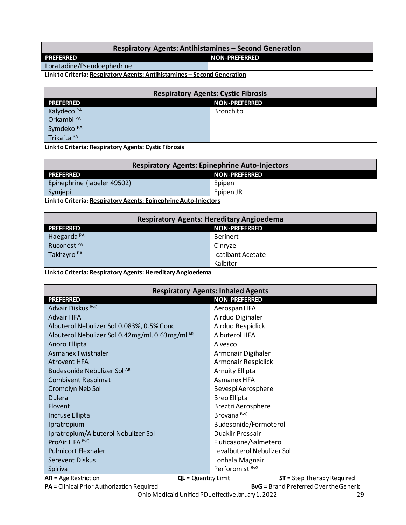#### Respiratory Agents: Antihistamines - Second Generation

**NON-PREFERRED** 

Loratadine/Pseudoephedrine

<span id="page-28-0"></span>**PREFERRED** 

Link to Criteria: Respiratory Agents: Antihistamines - Second Generation

| <b>Respiratory Agents: Cystic Fibrosis</b> |                      |  |
|--------------------------------------------|----------------------|--|
| <b>PREFERRED</b>                           | <b>NON-PREFERRED</b> |  |
| Kalydeco <sup>PA</sup>                     | Bronchitol           |  |
| Orkambi <sup>PA</sup>                      |                      |  |
| Symdeko <sup>PA</sup>                      |                      |  |
| Trikafta <sup>PA</sup>                     |                      |  |

Link to Criteria: Respiratory Agents: Cystic Fibrosis

| <b>Respiratory Agents: Epinephrine Auto-Injectors</b>              |                      |
|--------------------------------------------------------------------|----------------------|
| <b>PREFERRED</b>                                                   | <b>NON-PREFERRED</b> |
| Epinephrine (labeler 49502)                                        | Epipen               |
| Symjepi                                                            | Epipen JR            |
| Lieleta Cuitania: Dagoninetan: Aganta: Fuingebuing Arcta Iniqatana |                      |

Link to Criteria: Respiratory Agents: Epinephrine Auto-Injectors

| <b>Respiratory Agents: Hereditary Angioedema</b> |                      |
|--------------------------------------------------|----------------------|
| <b>PREFERRED</b>                                 | <b>NON-PREFERRED</b> |
| Haegarda <sup>PA</sup>                           | <b>Berinert</b>      |
| Ruconest <sup>PA</sup>                           | Cinryze              |
| Takhzyro <sup>PA</sup>                           | Icatibant Acetate    |
|                                                  | Kalbitor             |

Link to Criteria: Respiratory Agents: Hereditary Angioedema

| <b>Respiratory Agents: Inhaled Agents</b>       |                            |                             |
|-------------------------------------------------|----------------------------|-----------------------------|
| <b>PREFERRED</b>                                | <b>NON-PREFERRED</b>       |                             |
| Advair Diskus BvG                               | Aerospan HFA               |                             |
| <b>Advair HFA</b>                               | Airduo Digihaler           |                             |
| Albuterol Nebulizer Sol 0.083%, 0.5% Conc       | Airduo Respiclick          |                             |
| Albuterol Nebulizer Sol 0.42mg/ml, 0.63mg/ml AR | <b>Albuterol HFA</b>       |                             |
| Anoro Ellipta                                   | Alvesco                    |                             |
| Asmanex Twisthaler                              | Armonair Digihaler         |                             |
| <b>Atrovent HFA</b>                             | Armonair Respiclick        |                             |
| Budesonide Nebulizer Sol AR                     | <b>Arnuity Ellipta</b>     |                             |
| <b>Combivent Respimat</b>                       | Asmanex HFA                |                             |
| Cromolyn Neb Sol                                | Bevespi Aerosphere         |                             |
| <b>Dulera</b>                                   | <b>Breo Ellipta</b>        |                             |
| <b>Flovent</b>                                  | <b>Breztri Aerosphere</b>  |                             |
| Incruse Ellipta                                 | Brovana <sup>BvG</sup>     |                             |
| Ipratropium                                     | Budesonide/Formoterol      |                             |
| Ipratropium/Albuterol Nebulizer Sol             | Duaklir Pressair           |                             |
| ProAir HFA BvG                                  | Fluticasone/Salmeterol     |                             |
| <b>Pulmicort Flexhaler</b>                      | Levalbuterol Nebulizer Sol |                             |
| Serevent Diskus                                 | Lonhala Magnair            |                             |
| Spiriva                                         | Perforomist <sup>BvG</sup> |                             |
| $AR = Age$ Restriction                          | $QL =$ Quantity Limit      | $ST = Step Theory Required$ |

PA = Clinical Prior Authorization Required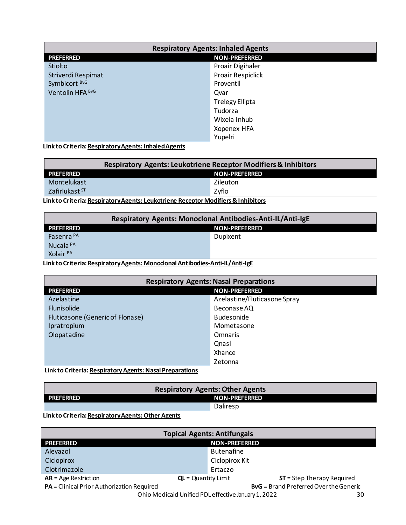<span id="page-29-0"></span>

| <b>Respiratory Agents: Inhaled Agents</b> |                        |
|-------------------------------------------|------------------------|
| <b>PREFERRED</b>                          | <b>NON-PREFERRED</b>   |
| Stiolto                                   | Proair Digihaler       |
| Striverdi Respimat                        | Proair Respiclick      |
| Symbicort BvG                             | Proventil              |
| Ventolin HFA BvG                          | Qvar                   |
|                                           | <b>Trelegy Ellipta</b> |
|                                           | Tudorza                |
|                                           | Wixela Inhub           |
|                                           | <b>Xopenex HFA</b>     |
|                                           | Yupelri                |

Link to Criteria: Respiratory Agents: Inhaled Agents

| <b>Respiratory Agents: Leukotriene Receptor Modifiers &amp; Inhibitors</b> |               |
|----------------------------------------------------------------------------|---------------|
| <b>PREFERRED</b>                                                           | NON-PREFERRED |
| Montelukast                                                                | Zileuton      |
| Zafirlukast <sup>ST</sup>                                                  | Zyflo         |
|                                                                            |               |

Link to Criteria: Respiratory Agents: Leukotriene Receptor Modifiers & Inhibitors

| Respiratory Agents: Monoclonal Antibodies-Anti-IL/Anti-IgE |                      |  |
|------------------------------------------------------------|----------------------|--|
| <b>PREFERRED</b>                                           | <b>NON-PREFERRED</b> |  |
| Fasenra <sup>PA</sup>                                      | Dupixent             |  |
| Nucala <sup>PA</sup>                                       |                      |  |
| Xolair <sup>PA</sup>                                       |                      |  |

Link to Criteria: Respiratory Agents: Monoclonal Antibodies-Anti-IL/Anti-IgE

| <b>Respiratory Agents: Nasal Preparations</b> |                              |
|-----------------------------------------------|------------------------------|
| <b>NON-PREFERRED</b><br><b>PREFERRED</b>      |                              |
| Azelastine                                    | Azelastine/Fluticasone Spray |
| <b>Flunisolide</b>                            | Beconase AQ                  |
| Fluticasone (Generic of Flonase)              | <b>Budesonide</b>            |
| Ipratropium                                   | Mometasone                   |
| Olopatadine                                   | <b>Omnaris</b>               |
|                                               | Qnasl                        |
|                                               | Xhance                       |
|                                               | Zetonna                      |

Link to Criteria: Respiratory Agents: Nasal Preparations

| <b>Respiratory Agents: Other Agents</b> |                      |
|-----------------------------------------|----------------------|
| <b>PREFERRED</b>                        | <b>NON-PREFERRED</b> |
|                                         | Daliresp             |

#### Link to Criteria: Respiratory Agents: Other Agents

| <b>Topical Agents: Antifungals</b>                                                          |                                                      |  |
|---------------------------------------------------------------------------------------------|------------------------------------------------------|--|
| <b>PREFERRED</b>                                                                            | <b>NON-PREFERRED</b>                                 |  |
| Alevazol                                                                                    | <b>Butenafine</b>                                    |  |
| Ciclopirox                                                                                  | Ciclopirox Kit                                       |  |
| Clotrimazole                                                                                | Ertaczo                                              |  |
| $AR = Age$ Restriction                                                                      | $ST = Step Theory Required$<br>$QL =$ Quantity Limit |  |
| PA = Clinical Prior Authorization Required<br><b>BvG</b> = Brand Preferred Over the Generic |                                                      |  |
| Ohio Medicaid Unified PDL effective January 1, 2022<br>30                                   |                                                      |  |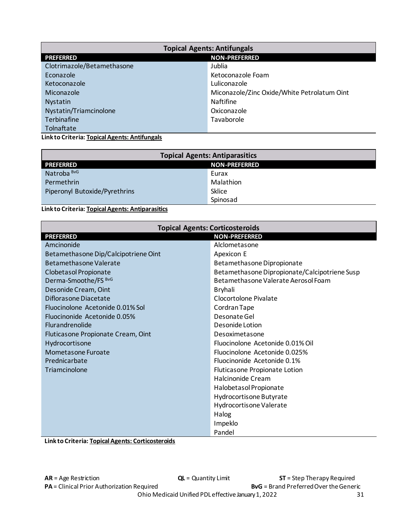<span id="page-30-0"></span>

| <b>Topical Agents: Antifungals</b>       |                                             |  |
|------------------------------------------|---------------------------------------------|--|
| <b>NON-PREFERRED</b><br><b>PREFERRED</b> |                                             |  |
| Clotrimazole/Betamethasone               | Jublia                                      |  |
| Econazole                                | Ketoconazole Foam                           |  |
| Ketoconazole                             | Luliconazole                                |  |
| Miconazole                               | Miconazole/Zinc Oxide/White Petrolatum Oint |  |
| <b>Nystatin</b>                          | <b>Naftifine</b>                            |  |
| Nystatin/Triamcinolone                   | Oxiconazole                                 |  |
| Terbinafine                              | Tavaborole                                  |  |
| Tolnaftate                               |                                             |  |

**Link to Criteria: [Topical Agents: Antifungals](https://pharmacy.medicaid.ohio.gov/sites/default/files/20220101_UPDL_Criteria_Final.pdf#page=97)** 

| <b>Topical Agents: Antiparasitics</b> |                      |
|---------------------------------------|----------------------|
| <b>PREFERRED</b>                      | <b>NON-PREFERRED</b> |
| Natroba <sup>BvG</sup>                | Eurax                |
| Permethrin                            | Malathion            |
| Piperonyl Butoxide/Pyrethrins         | Sklice               |
|                                       | Spinosad             |

**Link to Criteria: [Topical Agents: Antiparasitics](https://pharmacy.medicaid.ohio.gov/sites/default/files/20220101_UPDL_Criteria_Final.pdf#page=98)** 

| <b>Topical Agents: Corticosteroids</b>   |                                               |  |
|------------------------------------------|-----------------------------------------------|--|
| <b>PREFERRED</b><br><b>NON-PREFERRED</b> |                                               |  |
| Amcinonide                               | Alclometasone                                 |  |
| Betamethasone Dip/Calcipotriene Oint     | Apexicon E                                    |  |
| Betamethasone Valerate                   | Betamethasone Dipropionate                    |  |
| Clobetasol Propionate                    | Betamethasone Dipropionate/Calcipotriene Susp |  |
| Derma-Smoothe/FS BvG                     | Betamethasone Valerate Aerosol Foam           |  |
| Desonide Cream, Oint                     | <b>Bryhali</b>                                |  |
| Diflorasone Diacetate                    | Clocortolone Pivalate                         |  |
| Fluocinolone Acetonide 0.01% Sol         | Cordran Tape                                  |  |
| Fluocinonide Acetonide 0.05%             | Desonate Gel                                  |  |
| <b>Flurandrenolide</b>                   | Desonide Lotion                               |  |
| Fluticasone Propionate Cream, Oint       | Desoximetasone                                |  |
| Hydrocortisone                           | Fluocinolone Acetonide 0.01% Oil              |  |
| Mometasone Furoate                       | Fluocinolone Acetonide 0.025%                 |  |
| Prednicarbate                            | Fluocinonide Acetonide 0.1%                   |  |
| Triamcinolone                            | Fluticasone Propionate Lotion                 |  |
|                                          | Halcinonide Cream                             |  |
|                                          | Halobetasol Propionate                        |  |
|                                          | Hydrocortisone Butyrate                       |  |
|                                          | Hydrocortisone Valerate                       |  |
|                                          | Halog                                         |  |
|                                          | Impeklo                                       |  |
|                                          | Pandel                                        |  |

**Link to Criteria: [Topical Agents: Corticosteroids](https://pharmacy.medicaid.ohio.gov/sites/default/files/20220101_UPDL_Criteria_Final.pdf#page=99)**